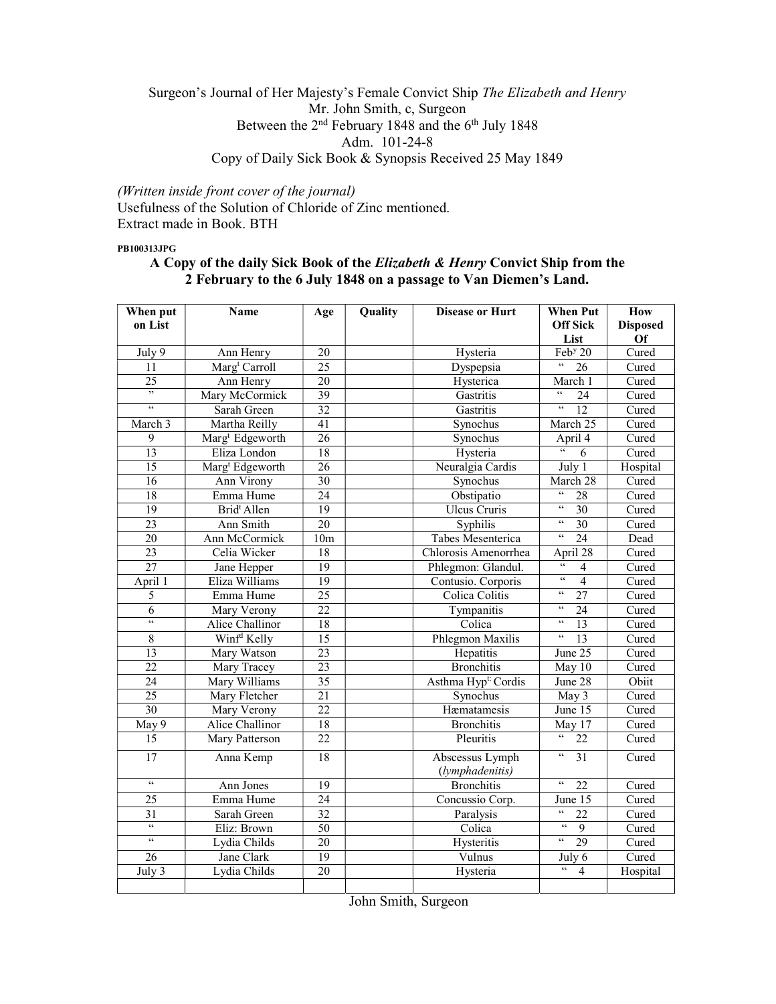## Surgeon's Journal of Her Majesty's Female Convict Ship The Elizabeth and Henry Mr. John Smith, c, Surgeon Between the 2<sup>nd</sup> February 1848 and the 6<sup>th</sup> July 1848 Adm. 101-24-8 Copy of Daily Sick Book & Synopsis Received 25 May 1849

(Written inside front cover of the journal) Usefulness of the Solution of Chloride of Zinc mentioned. Extract made in Book. BTH

PB100313JPG

## A Copy of the daily Sick Book of the Elizabeth & Henry Convict Ship from the 2 February to the 6 July 1848 on a passage to Van Diemen's Land.

| When put                 | <b>Name</b><br>Quality<br>Age |                 |  | <b>Disease or Hurt</b>             | <b>When Put</b>                                                     | How             |
|--------------------------|-------------------------------|-----------------|--|------------------------------------|---------------------------------------------------------------------|-----------------|
| on List                  |                               |                 |  |                                    | <b>Off Sick</b>                                                     | <b>Disposed</b> |
|                          |                               |                 |  |                                    | List                                                                | Of              |
| July 9                   | Ann Henry                     | 20              |  | Hysteria                           | Feb <sup>y</sup> 20                                                 | Cured           |
| 11                       | Marg <sup>t</sup> Carroll     | $\overline{25}$ |  | Dyspepsia                          | $\boldsymbol{\varsigma}$<br>$\overline{26}$                         | Cured           |
| 25                       | Ann Henry                     | 20              |  | Hysterica                          | March 1                                                             | Cured           |
| ,                        | Mary McCormick                | 39              |  | Gastritis                          | $\mathfrak{c}\mathfrak{c}$<br>24                                    | Cured           |
| $\mathcal{C}\mathcal{C}$ | Sarah Green                   | $\overline{32}$ |  | Gastritis                          | $\epsilon\epsilon$<br>12                                            | Cured           |
| March 3                  | Martha Reilly                 | 41              |  | Synochus                           | March 25                                                            | Cured           |
| 9                        | Marg <sup>t</sup> Edgeworth   | $\overline{26}$ |  | Synochus                           | April $\overline{4}$                                                | Cured           |
| $\overline{13}$          | Eliza London                  | 18              |  | Hysteria                           | $\overline{\mathfrak{c}}$<br>6                                      | Cured           |
| $\overline{15}$          | Marg <sup>t</sup> Edgeworth   | 26              |  | Neuralgia Cardis                   | July 1                                                              | Hospital        |
| $\overline{16}$          | Ann Virony                    | 30              |  | Synochus                           | March 28                                                            | Cured           |
| $\overline{18}$          | Emma Hume                     | $\overline{24}$ |  | Obstipatio                         | $\mathfrak{c}\mathfrak{c}$<br>$\overline{28}$                       | Cured           |
| 19                       | Brid <sup>t</sup> Allen       | 19              |  | <b>Ulcus Cruris</b>                | $\zeta\zeta$<br>30                                                  | Cured           |
| 23                       | Ann Smith                     | $\overline{20}$ |  | Syphilis                           | $\zeta\,\zeta$<br>$\overline{30}$                                   | Cured           |
| $\overline{20}$          | Ann McCormick                 | 10 <sub>m</sub> |  | Tabes Mesenterica                  | $\zeta\,\zeta$<br>24                                                | Dead            |
| $\overline{23}$          | Celia Wicker                  | $\overline{18}$ |  | Chlorosis Amenorrhea               | April 28                                                            | Cured           |
| 27                       | Jane Hepper                   | 19              |  | Phlegmon: Glandul.                 | 66<br>$\overline{4}$                                                | Cured           |
| April 1                  | Eliza Williams                | 19              |  | Contusio. Corporis                 | $\overline{66}$<br>$\overline{4}$                                   | Cured           |
| $\overline{5}$           | Emma Hume                     | 25              |  | Colica Colitis                     | $\zeta\zeta$<br>27                                                  | Cured           |
| $\overline{6}$           | Mary Verony                   | $\overline{22}$ |  | Tympanitis                         | $\zeta \, \zeta$<br>$\overline{24}$                                 | Cured           |
| $\epsilon$               | Alice Challinor               | 18              |  | Colica                             | $\mathfrak{c}\mathfrak{c}$<br>$\overline{13}$                       | Cured           |
| $\overline{8}$           | Winf <sup>d</sup> Kelly       | $\overline{15}$ |  | Phlegmon Maxilis                   | $\overline{\mathfrak{c}}$<br>$\overline{13}$                        | Cured           |
| $\overline{13}$          | Mary Watson                   | 23              |  | Hepatitis                          | June 25                                                             | Cured           |
| $\overline{22}$          | Mary Tracey                   | $\overline{23}$ |  | <b>Bronchitis</b>                  | May 10                                                              | Cured           |
| 24                       | Mary Williams                 | $\overline{35}$ |  | Asthma Hyp <sup>t:</sup> Cordis    | June 28                                                             | Obiit           |
| $\overline{25}$          | Mary Fletcher                 | $\overline{21}$ |  | Synochus                           | May 3                                                               | Cured           |
| 30                       | Mary Verony                   | $\overline{22}$ |  | Hæmatamesis                        | June 15                                                             | Cured           |
| May 9                    | Alice Challinor               | 18              |  | <b>Bronchitis</b>                  | May 17                                                              | Cured           |
| 15                       | Mary Patterson                | $\overline{22}$ |  | Pleuritis                          | $\boldsymbol{\varsigma}\,\boldsymbol{\varsigma}$<br>$\overline{22}$ | Cured           |
| $\overline{17}$          | Anna Kemp                     | 18              |  | Abscessus Lymph<br>(lymphadenitis) | $\zeta\,\zeta$<br>$\overline{31}$                                   | Cured           |
| $\mathcal{C}$            | Ann Jones                     | $\overline{19}$ |  | <b>Bronchitis</b>                  | $\zeta\,\zeta$<br>$\overline{22}$                                   | Cured           |
| 25                       | Emma Hume                     | $\overline{24}$ |  | Concussio Corp.                    | June 15                                                             | Cured           |
| 31                       | Sarah Green                   | $\overline{32}$ |  | Paralysis                          | $\zeta \, \zeta$<br>22                                              | Cured           |
| $\zeta\zeta$             | Eliz: Brown                   | 50              |  | Colica                             | $\overline{\mathfrak{c}}$<br>$\overline{9}$                         | Cured           |
| $\epsilon\epsilon$       | Lydia Childs                  | 20              |  | Hysteritis                         | $\overline{\mathfrak{c}}$<br>29                                     | Cured           |
| 26                       | Jane Clark                    | $\overline{19}$ |  | Vulnus                             | July 6                                                              | Cured           |
| July 3                   | Lydia Childs                  | $\overline{20}$ |  | Hysteria                           | $\mathfrak{c}\mathfrak{c}$<br>$\overline{4}$                        | Hospital        |
|                          |                               |                 |  |                                    |                                                                     |                 |
|                          |                               |                 |  |                                    |                                                                     |                 |

John Smith, Surgeon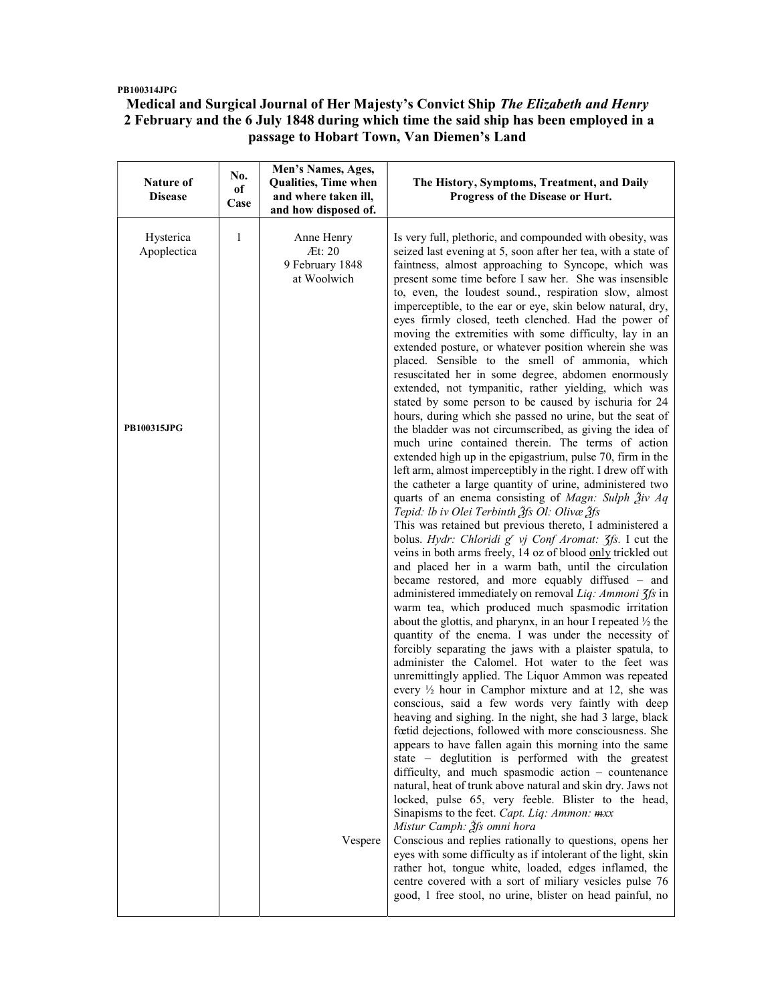### PB100314JPG

 $\mathbf{r}$ 

# Medical and Surgical Journal of Her Majesty's Convict Ship The Elizabeth and Henry 2 February and the 6 July 1848 during which time the said ship has been employed in a passage to Hobart Town, Van Diemen's Land

| Nature of<br><b>Disease</b>             | No.<br>оf<br>Case | Men's Names, Ages,<br><b>Qualities, Time when</b><br>and where taken ill,<br>and how disposed of. | The History, Symptoms, Treatment, and Daily<br>Progress of the Disease or Hurt.                                                                                                                                                                                                                                                                                                                                                                                                                                                                                                                                                                                                                                                                                                                                                                                                                                                                                                                                                                                                                                                                                                                                                                                                                                                                                                                                                                                                                                                                                                                                                                                                                                                                                                                                                                                                                                                                                                                                                                                                                                                                                                                                                                                                                                                                                                                                                                                                                                                                                                                                                                                                                                                                                                                                                                                                        |
|-----------------------------------------|-------------------|---------------------------------------------------------------------------------------------------|----------------------------------------------------------------------------------------------------------------------------------------------------------------------------------------------------------------------------------------------------------------------------------------------------------------------------------------------------------------------------------------------------------------------------------------------------------------------------------------------------------------------------------------------------------------------------------------------------------------------------------------------------------------------------------------------------------------------------------------------------------------------------------------------------------------------------------------------------------------------------------------------------------------------------------------------------------------------------------------------------------------------------------------------------------------------------------------------------------------------------------------------------------------------------------------------------------------------------------------------------------------------------------------------------------------------------------------------------------------------------------------------------------------------------------------------------------------------------------------------------------------------------------------------------------------------------------------------------------------------------------------------------------------------------------------------------------------------------------------------------------------------------------------------------------------------------------------------------------------------------------------------------------------------------------------------------------------------------------------------------------------------------------------------------------------------------------------------------------------------------------------------------------------------------------------------------------------------------------------------------------------------------------------------------------------------------------------------------------------------------------------------------------------------------------------------------------------------------------------------------------------------------------------------------------------------------------------------------------------------------------------------------------------------------------------------------------------------------------------------------------------------------------------------------------------------------------------------------------------------------------------|
| Hysterica<br>Apoplectica<br>PB100315JPG | 1                 | Anne Henry<br>Æt: 20<br>9 February 1848<br>at Woolwich<br>Vespere                                 | Is very full, plethoric, and compounded with obesity, was<br>seized last evening at 5, soon after her tea, with a state of<br>faintness, almost approaching to Syncope, which was<br>present some time before I saw her. She was insensible<br>to, even, the loudest sound., respiration slow, almost<br>imperceptible, to the ear or eye, skin below natural, dry,<br>eyes firmly closed, teeth clenched. Had the power of<br>moving the extremities with some difficulty, lay in an<br>extended posture, or whatever position wherein she was<br>placed. Sensible to the smell of ammonia, which<br>resuscitated her in some degree, abdomen enormously<br>extended, not tympanitic, rather yielding, which was<br>stated by some person to be caused by ischuria for 24<br>hours, during which she passed no urine, but the seat of<br>the bladder was not circumscribed, as giving the idea of<br>much urine contained therein. The terms of action<br>extended high up in the epigastrium, pulse 70, firm in the<br>left arm, almost imperceptibly in the right. I drew off with<br>the catheter a large quantity of urine, administered two<br>quarts of an enema consisting of <i>Magn</i> : Sulph $\tilde{A}$ iv Aq<br>Tepid: lb iv Olei Terbinth 3fs Ol: Olivæ 3fs<br>This was retained but previous thereto, I administered a<br>bolus. Hydr: Chloridi g' vj Conf Aromat: 3fs. I cut the<br>veins in both arms freely, 14 oz of blood only trickled out<br>and placed her in a warm bath, until the circulation<br>became restored, and more equably diffused - and<br>administered immediately on removal Liq: Ammoni 3fs in<br>warm tea, which produced much spasmodic irritation<br>about the glottis, and pharynx, in an hour I repeated $\frac{1}{2}$ the<br>quantity of the enema. I was under the necessity of<br>forcibly separating the jaws with a plaister spatula, to<br>administer the Calomel. Hot water to the feet was<br>unremittingly applied. The Liquor Ammon was repeated<br>every $\frac{1}{2}$ hour in Camphor mixture and at 12, she was<br>conscious, said a few words very faintly with deep<br>heaving and sighing. In the night, she had 3 large, black<br>fœtid dejections, followed with more consciousness. She<br>appears to have fallen again this morning into the same<br>state – deglutition is performed with the greatest<br>difficulty, and much spasmodic action - countenance<br>natural, heat of trunk above natural and skin dry. Jaws not<br>locked, pulse 65, very feeble. Blister to the head,<br>Sinapisms to the feet. Capt. Liq: Ammon: mxx<br>Mistur Camph: Ѯfs omni hora<br>Conscious and replies rationally to questions, opens her<br>eyes with some difficulty as if intolerant of the light, skin<br>rather hot, tongue white, loaded, edges inflamed, the<br>centre covered with a sort of miliary vesicles pulse 76 |
|                                         |                   |                                                                                                   | good, 1 free stool, no urine, blister on head painful, no                                                                                                                                                                                                                                                                                                                                                                                                                                                                                                                                                                                                                                                                                                                                                                                                                                                                                                                                                                                                                                                                                                                                                                                                                                                                                                                                                                                                                                                                                                                                                                                                                                                                                                                                                                                                                                                                                                                                                                                                                                                                                                                                                                                                                                                                                                                                                                                                                                                                                                                                                                                                                                                                                                                                                                                                                              |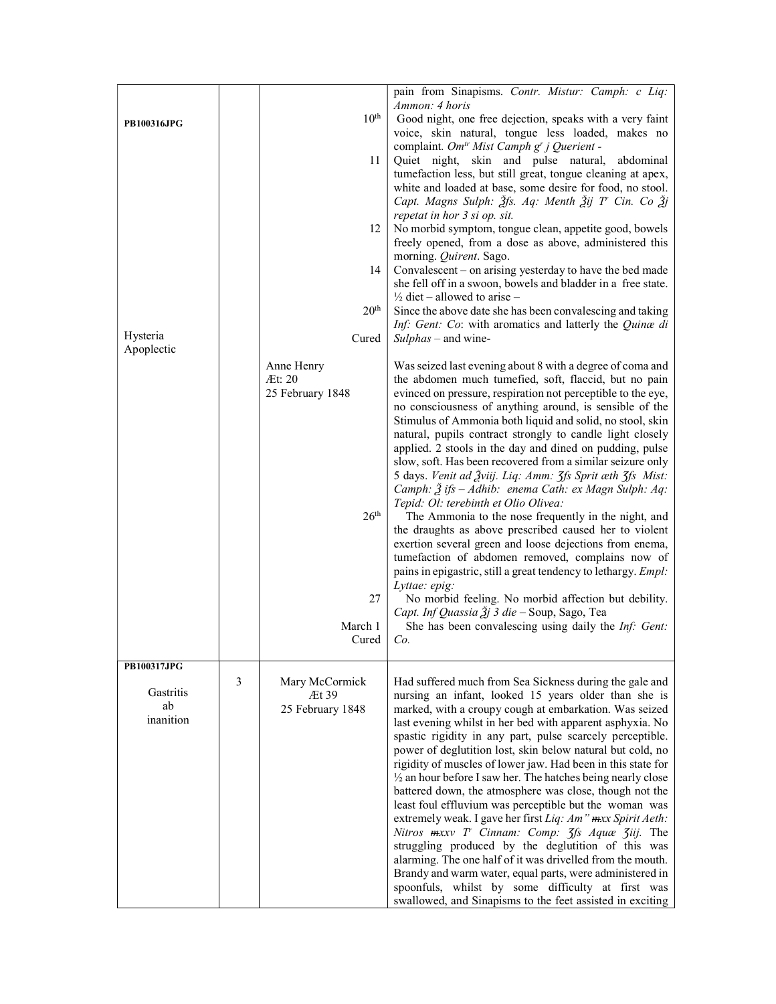|                    |                |                  | pain from Sinapisms. Contr. Mistur: Camph: c Liq:                                                                       |
|--------------------|----------------|------------------|-------------------------------------------------------------------------------------------------------------------------|
| <b>PB100316JPG</b> |                | $10^{\rm th}$    | Ammon: 4 horis<br>Good night, one free dejection, speaks with a very faint                                              |
|                    |                |                  | voice, skin natural, tongue less loaded, makes no                                                                       |
|                    |                | 11               | complaint. Om <sup>tr</sup> Mist Camph g' j Querient -<br>Quiet night, skin and pulse natural, abdominal                |
|                    |                |                  | tumefaction less, but still great, tongue cleaning at apex,                                                             |
|                    |                |                  | white and loaded at base, some desire for food, no stool.                                                               |
|                    |                |                  | Capt. Magns Sulph: Ѯfs. Aq: Menth Ѯij T' Cin. Co Ѯj                                                                     |
|                    |                |                  | repetat in hor 3 si op. sit.                                                                                            |
|                    |                | 12               | No morbid symptom, tongue clean, appetite good, bowels<br>freely opened, from a dose as above, administered this        |
|                    |                |                  | morning. Quirent. Sago.                                                                                                 |
|                    |                | 14               | Convalescent – on arising yesterday to have the bed made                                                                |
|                    |                |                  | she fell off in a swoon, bowels and bladder in a free state.                                                            |
|                    |                |                  | $\frac{1}{2}$ diet – allowed to arise –                                                                                 |
|                    |                | 20 <sup>th</sup> | Since the above date she has been convalescing and taking                                                               |
| Hysteria           |                | Cured            | Inf: Gent: Co: with aromatics and latterly the Quinæ di<br>$Sulphas -$ and wine-                                        |
| Apoplectic         |                |                  |                                                                                                                         |
|                    |                | Anne Henry       | Was seized last evening about 8 with a degree of coma and                                                               |
|                    |                | Æt: 20           | the abdomen much tumefied, soft, flaccid, but no pain                                                                   |
|                    |                | 25 February 1848 | evinced on pressure, respiration not perceptible to the eye,<br>no consciousness of anything around, is sensible of the |
|                    |                |                  | Stimulus of Ammonia both liquid and solid, no stool, skin                                                               |
|                    |                |                  | natural, pupils contract strongly to candle light closely                                                               |
|                    |                |                  | applied. 2 stools in the day and dined on pudding, pulse                                                                |
|                    |                |                  | slow, soft. Has been recovered from a similar seizure only                                                              |
|                    |                |                  | 5 days. Venit ad Žviij. Liq: Amm: 3fs Sprit æth 3fs Mist:                                                               |
|                    |                |                  | Camph: $\tilde{\beta}$ ifs - Adhib: enema Cath: ex Magn Sulph: Aq:<br>Tepid: Ol: terebinth et Olio Olivea:              |
|                    |                | 26 <sup>th</sup> | The Ammonia to the nose frequently in the night, and                                                                    |
|                    |                |                  | the draughts as above prescribed caused her to violent                                                                  |
|                    |                |                  | exertion several green and loose dejections from enema,                                                                 |
|                    |                |                  | tumefaction of abdomen removed, complains now of<br>pains in epigastric, still a great tendency to lethargy. Empl:      |
|                    |                |                  | Lyttae: epig:                                                                                                           |
|                    |                | 27               | No morbid feeling. No morbid affection but debility.                                                                    |
|                    |                |                  | Capt. Inf Quassia $\tilde{A}$ j 3 die – Soup, Sago, Tea                                                                 |
|                    |                | March 1          | She has been convalescing using daily the <i>Inf: Gent:</i>                                                             |
|                    |                | Cured            | Co.                                                                                                                     |
| PB100317JPG        |                |                  |                                                                                                                         |
|                    | $\mathfrak{Z}$ | Mary McCormick   | Had suffered much from Sea Sickness during the gale and                                                                 |
| Gastritis          |                | Æt 39            | nursing an infant, looked 15 years older than she is                                                                    |
| ab<br>inanition    |                | 25 February 1848 | marked, with a croupy cough at embarkation. Was seized                                                                  |
|                    |                |                  | last evening whilst in her bed with apparent asphyxia. No<br>spastic rigidity in any part, pulse scarcely perceptible.  |
|                    |                |                  | power of deglutition lost, skin below natural but cold, no                                                              |
|                    |                |                  | rigidity of muscles of lower jaw. Had been in this state for                                                            |
|                    |                |                  | $\frac{1}{2}$ an hour before I saw her. The hatches being nearly close                                                  |
|                    |                |                  | battered down, the atmosphere was close, though not the                                                                 |
|                    |                |                  | least foul effluvium was perceptible but the woman was<br>extremely weak. I gave her first Liq: Am" mxx Spirit Aeth:    |
|                    |                |                  | Nitros $maxv$ T' Cinnam: Comp: $\zeta$ fs Aquæ $\zeta$ iij. The                                                         |
|                    |                |                  | struggling produced by the deglutition of this was                                                                      |
|                    |                |                  | alarming. The one half of it was drivelled from the mouth.                                                              |
|                    |                |                  | Brandy and warm water, equal parts, were administered in                                                                |
|                    |                |                  | spoonfuls, whilst by some difficulty at first was<br>swallowed, and Sinapisms to the feet assisted in exciting          |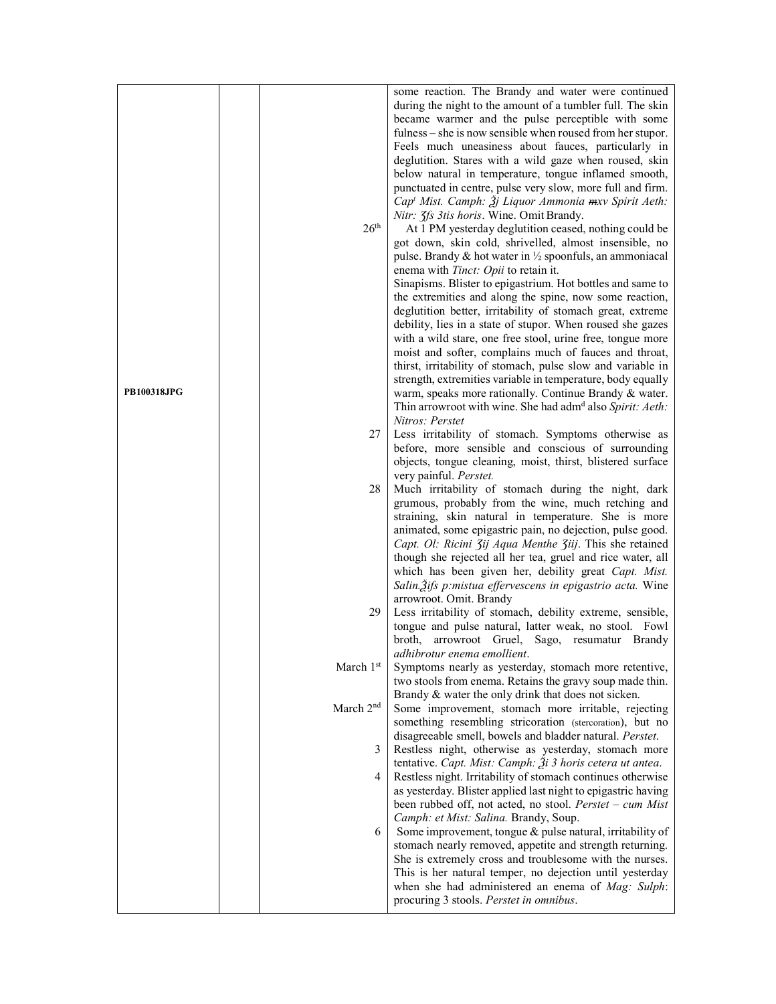| <b>PB100318JPG</b> | 26 <sup>th</sup>      | some reaction. The Brandy and water were continued<br>during the night to the amount of a tumbler full. The skin<br>became warmer and the pulse perceptible with some<br>fulness – she is now sensible when roused from her stupor.<br>Feels much uneasiness about fauces, particularly in<br>deglutition. Stares with a wild gaze when roused, skin<br>below natural in temperature, tongue inflamed smooth,<br>punctuated in centre, pulse very slow, more full and firm.<br>Cap <sup>t</sup> Mist. Camph: $\tilde{\mathcal{Z}}$ j Liquor Ammonia mxv Spirit Aeth:<br>Nitr: 3fs 3tis horis. Wine. Omit Brandy.<br>At 1 PM yesterday deglutition ceased, nothing could be<br>got down, skin cold, shrivelled, almost insensible, no<br>pulse. Brandy & hot water in $\frac{1}{2}$ spoonfuls, an ammoniacal<br>enema with <i>Tinct: Opii</i> to retain it.<br>Sinapisms. Blister to epigastrium. Hot bottles and same to<br>the extremities and along the spine, now some reaction,<br>deglutition better, irritability of stomach great, extreme<br>debility, lies in a state of stupor. When roused she gazes<br>with a wild stare, one free stool, urine free, tongue more<br>moist and softer, complains much of fauces and throat,<br>thirst, irritability of stomach, pulse slow and variable in<br>strength, extremities variable in temperature, body equally<br>warm, speaks more rationally. Continue Brandy & water.<br>Thin arrowroot with wine. She had adm <sup>d</sup> also Spirit: Aeth:<br>Nitros: Perstet |
|--------------------|-----------------------|-----------------------------------------------------------------------------------------------------------------------------------------------------------------------------------------------------------------------------------------------------------------------------------------------------------------------------------------------------------------------------------------------------------------------------------------------------------------------------------------------------------------------------------------------------------------------------------------------------------------------------------------------------------------------------------------------------------------------------------------------------------------------------------------------------------------------------------------------------------------------------------------------------------------------------------------------------------------------------------------------------------------------------------------------------------------------------------------------------------------------------------------------------------------------------------------------------------------------------------------------------------------------------------------------------------------------------------------------------------------------------------------------------------------------------------------------------------------------------------------------------------------------------|
|                    | 27                    | Less irritability of stomach. Symptoms otherwise as<br>before, more sensible and conscious of surrounding<br>objects, tongue cleaning, moist, thirst, blistered surface<br>very painful. Perstet.                                                                                                                                                                                                                                                                                                                                                                                                                                                                                                                                                                                                                                                                                                                                                                                                                                                                                                                                                                                                                                                                                                                                                                                                                                                                                                                           |
|                    | 28                    | Much irritability of stomach during the night, dark<br>grumous, probably from the wine, much retching and<br>straining, skin natural in temperature. She is more<br>animated, some epigastric pain, no dejection, pulse good.<br>Capt. Ol: Ricini 3ij Aqua Menthe 3iij. This she retained<br>though she rejected all her tea, gruel and rice water, all<br>which has been given her, debility great Capt. Mist.<br>Salin. Žifs p: mistua effervescens in epigastrio acta. Wine<br>arrowroot. Omit. Brandy                                                                                                                                                                                                                                                                                                                                                                                                                                                                                                                                                                                                                                                                                                                                                                                                                                                                                                                                                                                                                   |
|                    | 29                    | Less irritability of stomach, debility extreme, sensible,<br>tongue and pulse natural, latter weak, no stool. Fowl<br>broth, arrowroot Gruel, Sago, resumatur Brandy<br>adhibrotur enema emollient.                                                                                                                                                                                                                                                                                                                                                                                                                                                                                                                                                                                                                                                                                                                                                                                                                                                                                                                                                                                                                                                                                                                                                                                                                                                                                                                         |
|                    | March 1st             | Symptoms nearly as yesterday, stomach more retentive,<br>two stools from enema. Retains the gravy soup made thin.<br>Brandy & water the only drink that does not sicken.                                                                                                                                                                                                                                                                                                                                                                                                                                                                                                                                                                                                                                                                                                                                                                                                                                                                                                                                                                                                                                                                                                                                                                                                                                                                                                                                                    |
|                    | March 2 <sup>nd</sup> | Some improvement, stomach more irritable, rejecting<br>something resembling stricoration (stercoration), but no<br>disagreeable smell, bowels and bladder natural. Perstet.                                                                                                                                                                                                                                                                                                                                                                                                                                                                                                                                                                                                                                                                                                                                                                                                                                                                                                                                                                                                                                                                                                                                                                                                                                                                                                                                                 |
|                    | 3<br>4                | Restless night, otherwise as yesterday, stomach more<br>tentative. Capt. Mist: Camph: $2i$ 3 horis cetera ut antea.<br>Restless night. Irritability of stomach continues otherwise<br>as yesterday. Blister applied last night to epigastric having<br>been rubbed off, not acted, no stool. $Perstet - cum Mist$                                                                                                                                                                                                                                                                                                                                                                                                                                                                                                                                                                                                                                                                                                                                                                                                                                                                                                                                                                                                                                                                                                                                                                                                           |
|                    | 6                     | Camph: et Mist: Salina. Brandy, Soup.<br>Some improvement, tongue & pulse natural, irritability of<br>stomach nearly removed, appetite and strength returning.<br>She is extremely cross and troublesome with the nurses.<br>This is her natural temper, no dejection until yesterday<br>when she had administered an enema of Mag: Sulph:<br>procuring 3 stools. Perstet in omnibus.                                                                                                                                                                                                                                                                                                                                                                                                                                                                                                                                                                                                                                                                                                                                                                                                                                                                                                                                                                                                                                                                                                                                       |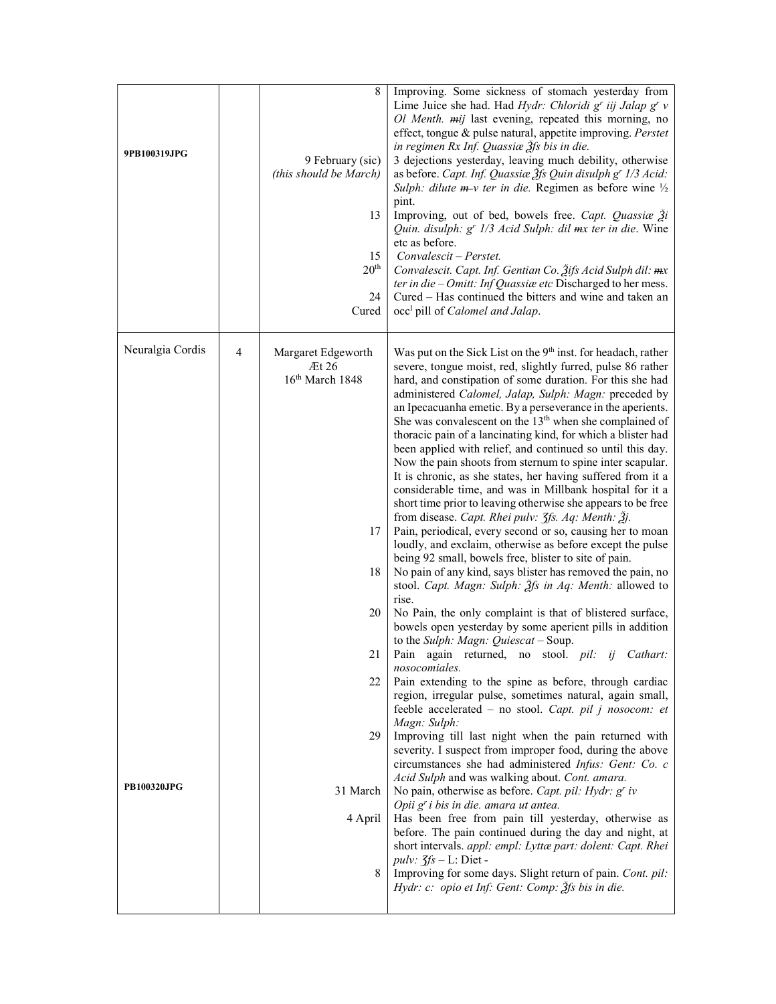| 9PB100319JPG                                | 9 February (sic)<br>(this should be March)<br>13<br>15<br>20 <sup>th</sup><br>24<br>Cured                       | Lime Juice she had. Had <i>Hydr: Chloridi</i> $gr$ <i>iij Jalap</i> $gr$ $v$<br>Ol Menth. mij last evening, repeated this morning, no<br>effect, tongue & pulse natural, appetite improving. Perstet<br>in regimen Rx Inf. Quassiae 3fs bis in die.<br>3 dejections yesterday, leaving much debility, otherwise<br>as before. Capt. Inf. Quassiæ 3fs Quin disulph g' 1/3 Acid:<br>Sulph: dilute $m$ -v ter in die. Regimen as before wine $\frac{1}{2}$<br>pint.<br>Improving, out of bed, bowels free. Capt. Quassiae 2i<br>Quin. disulph: g' 1/3 Acid Sulph: dil mx ter in die. Wine<br>etc as before.<br>Convalescit – Perstet.<br>Convalescit. Capt. Inf. Gentian Co. 3ifs Acid Sulph dil: mx<br>ter in die - Omitt: Inf Quassiae etc Discharged to her mess.<br>Cured – Has continued the bitters and wine and taken an<br>occ <sup>1</sup> pill of <i>Calomel and Jalap</i> .                                                                                                                                                                                                                                                                                                                                                                                                                                                                                                                                                                                                                                                                                                                                                                                                                                                                                                                                                                                                                                                                                                                                                                                                                                                                                                                                                                                                              |
|---------------------------------------------|-----------------------------------------------------------------------------------------------------------------|--------------------------------------------------------------------------------------------------------------------------------------------------------------------------------------------------------------------------------------------------------------------------------------------------------------------------------------------------------------------------------------------------------------------------------------------------------------------------------------------------------------------------------------------------------------------------------------------------------------------------------------------------------------------------------------------------------------------------------------------------------------------------------------------------------------------------------------------------------------------------------------------------------------------------------------------------------------------------------------------------------------------------------------------------------------------------------------------------------------------------------------------------------------------------------------------------------------------------------------------------------------------------------------------------------------------------------------------------------------------------------------------------------------------------------------------------------------------------------------------------------------------------------------------------------------------------------------------------------------------------------------------------------------------------------------------------------------------------------------------------------------------------------------------------------------------------------------------------------------------------------------------------------------------------------------------------------------------------------------------------------------------------------------------------------------------------------------------------------------------------------------------------------------------------------------------------------------------------------------------------------------------------------------------------|
| Neuralgia Cordis<br>4<br><b>PB100320JPG</b> | Margaret Edgeworth<br>Et26<br>$16th$ March 1848<br>17<br>18<br>20<br>21<br>22<br>29<br>31 March<br>4 April<br>8 | Was put on the Sick List on the 9 <sup>th</sup> inst. for headach, rather<br>severe, tongue moist, red, slightly furred, pulse 86 rather<br>hard, and constipation of some duration. For this she had<br>administered Calomel, Jalap, Sulph: Magn: preceded by<br>an Ipecacuanha emetic. By a perseverance in the aperients.<br>She was convalescent on the 13 <sup>th</sup> when she complained of<br>thoracic pain of a lancinating kind, for which a blister had<br>been applied with relief, and continued so until this day.<br>Now the pain shoots from sternum to spine inter scapular.<br>It is chronic, as she states, her having suffered from it a<br>considerable time, and was in Millbank hospital for it a<br>short time prior to leaving otherwise she appears to be free<br>from disease. Capt. Rhei pulv: $\zeta$ fs. Aq: Menth: $\zeta$ j.<br>Pain, periodical, every second or so, causing her to moan<br>loudly, and exclaim, otherwise as before except the pulse<br>being 92 small, bowels free, blister to site of pain.<br>No pain of any kind, says blister has removed the pain, no<br>stool. Capt. Magn: Sulph: 2fs in Aq: Menth: allowed to<br>rise.<br>No Pain, the only complaint is that of blistered surface,<br>bowels open yesterday by some aperient pills in addition<br>to the Sulph: Magn: Quiescat - Soup.<br>Pain again returned, no stool. pil: ij Cathart:<br>nosocomiales.<br>Pain extending to the spine as before, through cardiac<br>region, irregular pulse, sometimes natural, again small,<br>feeble accelerated - no stool. Capt. pil j nosocom: et<br>Magn: Sulph:<br>Improving till last night when the pain returned with<br>severity. I suspect from improper food, during the above<br>circumstances she had administered Infus: Gent: Co. c<br>Acid Sulph and was walking about. Cont. amara.<br>No pain, otherwise as before. Capt. pil: Hydr: $gr$ iv<br>Opii g' i bis in die. amara ut antea.<br>Has been free from pain till yesterday, otherwise as<br>before. The pain continued during the day and night, at<br>short intervals. appl: empl: Lyttæ part: dolent: Capt. Rhei<br>pulv: $\zeta f s - L$ : Diet -<br>Improving for some days. Slight return of pain. Cont. pil:<br>Hydr: c: opio et Inf: Gent: Comp: 3fs bis in die. |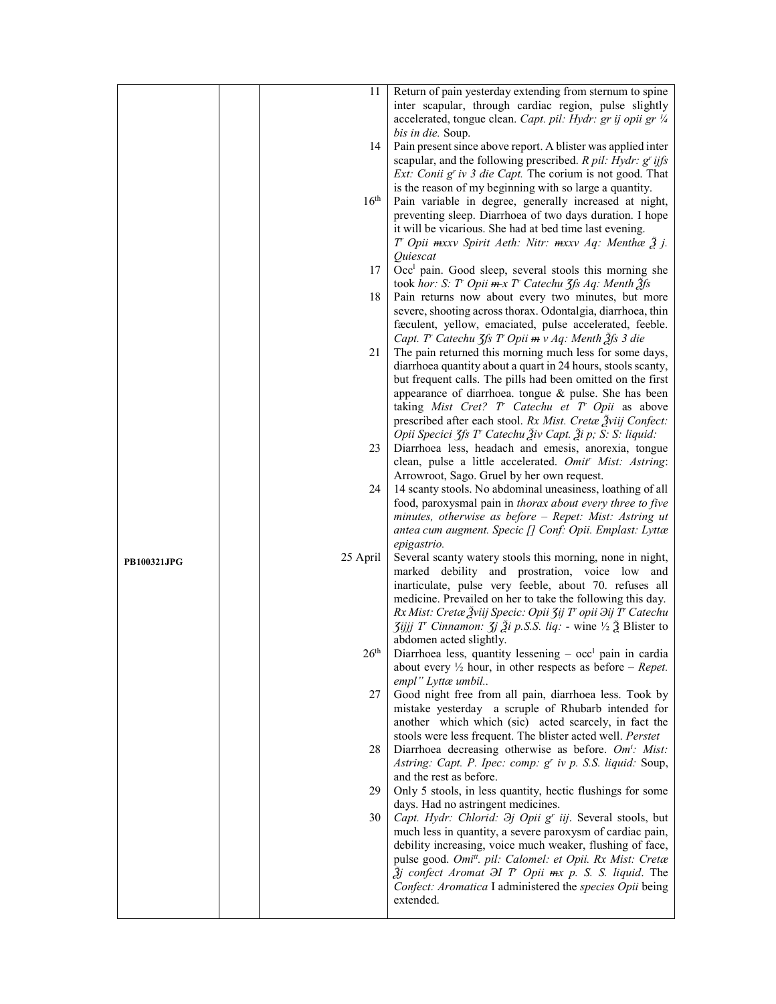|                    | 11               | Return of pain yesterday extending from sternum to spine                                                                                              |
|--------------------|------------------|-------------------------------------------------------------------------------------------------------------------------------------------------------|
|                    |                  | inter scapular, through cardiac region, pulse slightly                                                                                                |
|                    |                  | accelerated, tongue clean. Capt. pil: Hydr: gr ij opii gr 1/4                                                                                         |
|                    |                  | <i>bis in die.</i> Soup.                                                                                                                              |
|                    | 14               | Pain present since above report. A blister was applied inter                                                                                          |
|                    |                  | scapular, and the following prescribed. $R$ pil: Hydr: $g'$ ijfs                                                                                      |
|                    |                  | <i>Ext:</i> Conii $g^r$ iv 3 die Capt. The corium is not good. That                                                                                   |
|                    |                  | is the reason of my beginning with so large a quantity.                                                                                               |
|                    | 16 <sup>th</sup> | Pain variable in degree, generally increased at night,                                                                                                |
|                    |                  | preventing sleep. Diarrhoea of two days duration. I hope                                                                                              |
|                    |                  | it will be vicarious. She had at bed time last evening.                                                                                               |
|                    |                  | T' Opii mxxv Spirit Aeth: Nitr: mxxv Aq: Menthæ $\tilde{\beta}$ j.                                                                                    |
|                    |                  | Quiescat                                                                                                                                              |
|                    | 17               | Occ <sup>1</sup> pain. Good sleep, several stools this morning she                                                                                    |
|                    |                  | took hor: S: T Opii $m x T$ Catechu 3fs Aq: Menth $\tilde{g}$ fs                                                                                      |
|                    | 18               | Pain returns now about every two minutes, but more                                                                                                    |
|                    |                  | severe, shooting across thorax. Odontalgia, diarrhoea, thin                                                                                           |
|                    |                  | faculent, yellow, emaciated, pulse accelerated, feeble.                                                                                               |
|                    |                  | Capt. T' Catechu 3fs T' Opii m v Aq: Menth 3fs 3 die                                                                                                  |
|                    | 21               | The pain returned this morning much less for some days,                                                                                               |
|                    |                  | diarrhoea quantity about a quart in 24 hours, stools scanty,                                                                                          |
|                    |                  | but frequent calls. The pills had been omitted on the first                                                                                           |
|                    |                  | appearance of diarrhoea. tongue $\&$ pulse. She has been                                                                                              |
|                    |                  | taking Mist Cret? T Catechu et T Opii as above                                                                                                        |
|                    |                  | prescribed after each stool. Rx Mist. Cretae Žviij Confect:                                                                                           |
|                    |                  | Opii Specici 3fs T' Catechu Živ Capt. Ži p; S: S: liquid:                                                                                             |
|                    | 23               | Diarrhoea less, headach and emesis, anorexia, tongue                                                                                                  |
|                    |                  | clean, pulse a little accelerated. Omit' Mist: Astring:                                                                                               |
|                    |                  | Arrowroot, Sago. Gruel by her own request.                                                                                                            |
|                    | 24               | 14 scanty stools. No abdominal uneasiness, loathing of all                                                                                            |
|                    |                  | food, paroxysmal pain in thorax about every three to five                                                                                             |
|                    |                  | minutes, otherwise as before - Repet: Mist: Astring ut                                                                                                |
|                    |                  | antea cum augment. Specic [] Conf: Opii. Emplast: Lyttæ                                                                                               |
|                    |                  | epigastrio.                                                                                                                                           |
|                    | 25 April         | Several scanty watery stools this morning, none in night,                                                                                             |
| <b>PB100321JPG</b> |                  | marked debility and prostration, voice low and                                                                                                        |
|                    |                  | inarticulate, pulse very feeble, about 70. refuses all                                                                                                |
|                    |                  | medicine. Prevailed on her to take the following this day.                                                                                            |
|                    |                  | Rx Mist: Cretæ Žviij Specic: Opii 3ij T <sup>r</sup> opii $\partial$ ij T <sup>r</sup> Catechu                                                        |
|                    |                  | $\overline{\textit{3ijjj}}$ T' Cinnamon: $\overline{\textit{3j}}$ $\overline{\textit{2j}}$ i p.S.S. liq: - wine ½ $\overline{\textit{2j}}$ Blister to |
|                    |                  | abdomen acted slightly.                                                                                                                               |
|                    | $26^{\rm th}$    | Diarrhoea less, quantity lessening $-$ occ <sup>1</sup> pain in cardia                                                                                |
|                    |                  | about every $\frac{1}{2}$ hour, in other respects as before – <i>Repet</i> .                                                                          |
|                    |                  | empl" Lyttæ umbil                                                                                                                                     |
|                    | 27               | Good night free from all pain, diarrhoea less. Took by                                                                                                |
|                    |                  | mistake yesterday a scruple of Rhubarb intended for                                                                                                   |
|                    |                  | another which which (sic) acted scarcely, in fact the                                                                                                 |
|                    |                  | stools were less frequent. The blister acted well. Perstet                                                                                            |
|                    | 28               | Diarrhoea decreasing otherwise as before. Om': Mist:                                                                                                  |
|                    |                  | Astring: Capt. P. Ipec: comp: g' iv p. S.S. liquid: Soup,                                                                                             |
|                    |                  | and the rest as before.                                                                                                                               |
|                    | 29               | Only 5 stools, in less quantity, hectic flushings for some                                                                                            |
|                    |                  | days. Had no astringent medicines.                                                                                                                    |
|                    | 30               | Capt. Hydr: Chlorid: <i>Эj Opii g' iij</i> . Several stools, but                                                                                      |
|                    |                  | much less in quantity, a severe paroxysm of cardiac pain,                                                                                             |
|                    |                  | debility increasing, voice much weaker, flushing of face,                                                                                             |
|                    |                  |                                                                                                                                                       |
|                    |                  |                                                                                                                                                       |
|                    |                  | pulse good. Omi <sup>tt</sup> . pil: Calomel: et Opii. Rx Mist: Cretæ                                                                                 |
|                    |                  | $\tilde{\beta}$ j confect Aromat $\partial I$ T' Opii $mx$ p. S. S. liquid. The                                                                       |
|                    |                  | Confect: Aromatica I administered the species Opii being<br>extended.                                                                                 |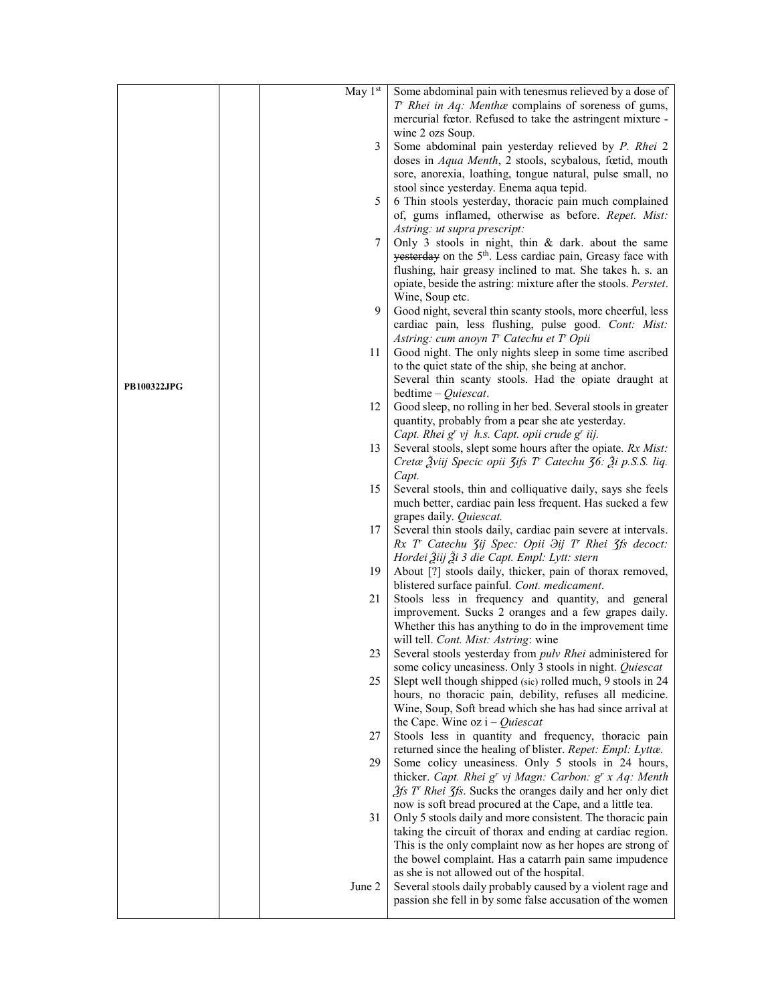|                    | May 1st | Some abdominal pain with tenesmus relieved by a dose of                                                                 |
|--------------------|---------|-------------------------------------------------------------------------------------------------------------------------|
|                    |         | $T$ Rhei in Aq: Mentha complains of soreness of gums,                                                                   |
|                    |         | mercurial fœtor. Refused to take the astringent mixture -                                                               |
|                    |         | wine 2 ozs Soup.                                                                                                        |
|                    | 3       | Some abdominal pain yesterday relieved by P. Rhei 2                                                                     |
|                    |         | doses in <i>Aqua Menth</i> , 2 stools, scybalous, fœtid, mouth                                                          |
|                    |         | sore, anorexia, loathing, tongue natural, pulse small, no                                                               |
|                    |         | stool since yesterday. Enema aqua tepid.                                                                                |
|                    | 5       | 6 Thin stools yesterday, thoracic pain much complained                                                                  |
|                    |         | of, gums inflamed, otherwise as before. Repet. Mist:                                                                    |
|                    |         | Astring: ut supra prescript:                                                                                            |
|                    | 7       | Only 3 stools in night, thin $\&$ dark. about the same                                                                  |
|                    |         | yesterday on the 5 <sup>th</sup> . Less cardiac pain, Greasy face with                                                  |
|                    |         | flushing, hair greasy inclined to mat. She takes h. s. an                                                               |
|                    |         | opiate, beside the astring: mixture after the stools. Perstet.                                                          |
|                    |         | Wine, Soup etc.                                                                                                         |
|                    | 9       | Good night, several thin scanty stools, more cheerful, less                                                             |
|                    |         | cardiac pain, less flushing, pulse good. Cont: Mist:                                                                    |
|                    |         | Astring: cum anoyn T' Catechu et T' Opii                                                                                |
|                    | 11      | Good night. The only nights sleep in some time ascribed                                                                 |
|                    |         | to the quiet state of the ship, she being at anchor.                                                                    |
| <b>PB100322JPG</b> |         | Several thin scanty stools. Had the opiate draught at                                                                   |
|                    |         | bedtime $-Quiescat.$                                                                                                    |
|                    | 12      | Good sleep, no rolling in her bed. Several stools in greater                                                            |
|                    |         | quantity, probably from a pear she ate yesterday.                                                                       |
|                    |         | Capt. Rhei g' vj h.s. Capt. opii crude g' iij.                                                                          |
|                    | 13      | Several stools, slept some hours after the opiate. Rx Mist:                                                             |
|                    |         | Cretæ Žviij Specic opii 3ifs T Catechu 36: Ži p.S.S. liq.                                                               |
|                    | 15      | Capt.<br>Several stools, thin and colliquative daily, says she feels                                                    |
|                    |         | much better, cardiac pain less frequent. Has sucked a few                                                               |
|                    |         | grapes daily. Quiescat.                                                                                                 |
|                    | 17      | Several thin stools daily, cardiac pain severe at intervals.                                                            |
|                    |         | Rx T' Catechu 3ij Spec: Opii $\partial$ ij T' Rhei 3fs decoct:                                                          |
|                    |         | Hordei Žiij Ži 3 die Capt. Empl: Lytt: stern                                                                            |
|                    | 19      | About [?] stools daily, thicker, pain of thorax removed,                                                                |
|                    |         | blistered surface painful. Cont. medicament.                                                                            |
|                    | 21      | Stools less in frequency and quantity, and general                                                                      |
|                    |         | improvement. Sucks 2 oranges and a few grapes daily.                                                                    |
|                    |         | Whether this has anything to do in the improvement time                                                                 |
|                    |         | will tell. Cont. Mist: Astring: wine                                                                                    |
|                    | 23      | Several stools yesterday from pulv Rhei administered for                                                                |
|                    |         | some colicy uneasiness. Only 3 stools in night. Quiescat                                                                |
|                    | 25      | Slept well though shipped (sic) rolled much, 9 stools in 24                                                             |
|                    |         | hours, no thoracic pain, debility, refuses all medicine.                                                                |
|                    |         | Wine, Soup, Soft bread which she has had since arrival at                                                               |
|                    |         | the Cape. Wine oz $i - Quiescat$                                                                                        |
|                    | 27      | Stools less in quantity and frequency, thoracic pain                                                                    |
|                    |         | returned since the healing of blister. Repet: Empl: Lyttæ.                                                              |
|                    | 29      | Some colicy uneasiness. Only 5 stools in 24 hours,                                                                      |
|                    |         | thicker. Capt. Rhei g' vj Magn: Carbon: g' x Aq: Menth                                                                  |
|                    |         | $\hat{f}$ s T' Rhei $\hat{f}$ s. Sucks the oranges daily and her only diet                                              |
|                    |         | now is soft bread procured at the Cape, and a little tea.                                                               |
|                    | 31      | Only 5 stools daily and more consistent. The thoracic pain                                                              |
|                    |         | taking the circuit of thorax and ending at cardiac region.<br>This is the only complaint now as her hopes are strong of |
|                    |         | the bowel complaint. Has a catarrh pain same impudence                                                                  |
|                    |         | as she is not allowed out of the hospital.                                                                              |
|                    | June 2  | Several stools daily probably caused by a violent rage and                                                              |
|                    |         | passion she fell in by some false accusation of the women                                                               |
|                    |         |                                                                                                                         |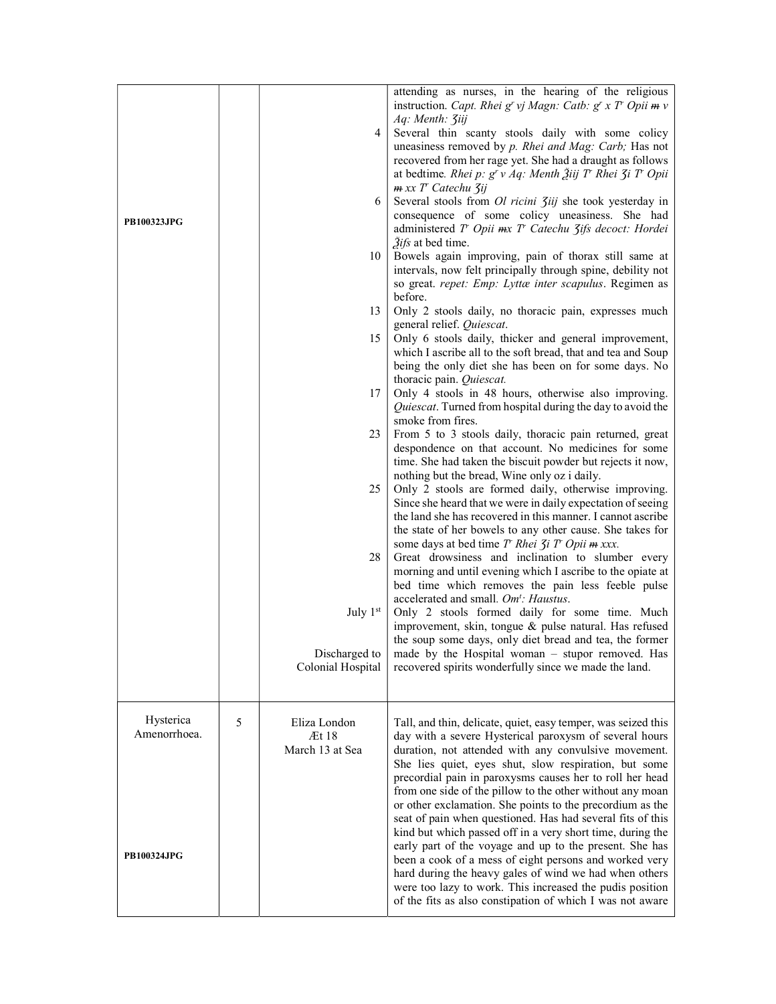|                           |   | 4                     | attending as nurses, in the hearing of the religious<br>instruction. Capt. Rhei g' vj Magn: Catb: g' x T' Opii $m v$<br>Aq: Menth: <i>Ziij</i><br>Several thin scanty stools daily with some colicy<br>uneasiness removed by p. Rhei and Mag: Carb; Has not                                                                                                                                                                     |
|---------------------------|---|-----------------------|---------------------------------------------------------------------------------------------------------------------------------------------------------------------------------------------------------------------------------------------------------------------------------------------------------------------------------------------------------------------------------------------------------------------------------|
| PB100323JPG               |   | 6                     | recovered from her rage yet. She had a draught as follows<br>at bedtime. Rhei p: $g^r v Aq$ : Menth Žiij T' Rhei $\zeta$ i T' Opii<br>m xx T' Catechu 3ij<br>Several stools from <i>Ol ricini 3iij</i> she took yesterday in<br>consequence of some colicy uneasiness. She had                                                                                                                                                  |
|                           |   | 10                    | administered T Opii mx T Catechu 3ifs decoct: Hordei<br>2ifs at bed time.<br>Bowels again improving, pain of thorax still same at<br>intervals, now felt principally through spine, debility not<br>so great. repet: Emp: Lyttæ inter scapulus. Regimen as                                                                                                                                                                      |
|                           |   | 13                    | before.<br>Only 2 stools daily, no thoracic pain, expresses much                                                                                                                                                                                                                                                                                                                                                                |
|                           |   | 15                    | general relief. Quiescat.<br>Only 6 stools daily, thicker and general improvement,                                                                                                                                                                                                                                                                                                                                              |
|                           |   |                       | which I ascribe all to the soft bread, that and tea and Soup                                                                                                                                                                                                                                                                                                                                                                    |
|                           |   |                       | being the only diet she has been on for some days. No<br>thoracic pain. Quiescat.                                                                                                                                                                                                                                                                                                                                               |
|                           |   | 17                    | Only 4 stools in 48 hours, otherwise also improving.<br>Quiescat. Turned from hospital during the day to avoid the                                                                                                                                                                                                                                                                                                              |
|                           |   |                       | smoke from fires.                                                                                                                                                                                                                                                                                                                                                                                                               |
|                           |   | 23                    | From 5 to 3 stools daily, thoracic pain returned, great<br>despondence on that account. No medicines for some<br>time. She had taken the biscuit powder but rejects it now,                                                                                                                                                                                                                                                     |
|                           |   | 25                    | nothing but the bread, Wine only oz i daily.<br>Only 2 stools are formed daily, otherwise improving.<br>Since she heard that we were in daily expectation of seeing                                                                                                                                                                                                                                                             |
|                           |   |                       | the land she has recovered in this manner. I cannot ascribe<br>the state of her bowels to any other cause. She takes for<br>some days at bed time T' Rhei Ji T' Opii m xxx.                                                                                                                                                                                                                                                     |
|                           |   | 28                    | Great drowsiness and inclination to slumber every<br>morning and until evening which I ascribe to the opiate at<br>bed time which removes the pain less feeble pulse                                                                                                                                                                                                                                                            |
|                           |   | July 1st              | accelerated and small. Om <sup>t</sup> : Haustus.<br>Only 2 stools formed daily for some time. Much<br>improvement, skin, tongue & pulse natural. Has refused                                                                                                                                                                                                                                                                   |
|                           |   | Discharged to         | the soup some days, only diet bread and tea, the former<br>made by the Hospital woman – stupor removed. Has                                                                                                                                                                                                                                                                                                                     |
|                           |   | Colonial Hospital     | recovered spirits wonderfully since we made the land.                                                                                                                                                                                                                                                                                                                                                                           |
| Hysterica<br>Amenorrhoea. | 5 | Eliza London<br>Æt 18 | Tall, and thin, delicate, quiet, easy temper, was seized this<br>day with a severe Hysterical paroxysm of several hours                                                                                                                                                                                                                                                                                                         |
|                           |   | March 13 at Sea       | duration, not attended with any convulsive movement.<br>She lies quiet, eyes shut, slow respiration, but some<br>precordial pain in paroxysms causes her to roll her head<br>from one side of the pillow to the other without any moan<br>or other exclamation. She points to the precordium as the<br>seat of pain when questioned. Has had several fits of this<br>kind but which passed off in a very short time, during the |
| <b>PB100324JPG</b>        |   |                       | early part of the voyage and up to the present. She has<br>been a cook of a mess of eight persons and worked very<br>hard during the heavy gales of wind we had when others<br>were too lazy to work. This increased the pudis position<br>of the fits as also constipation of which I was not aware                                                                                                                            |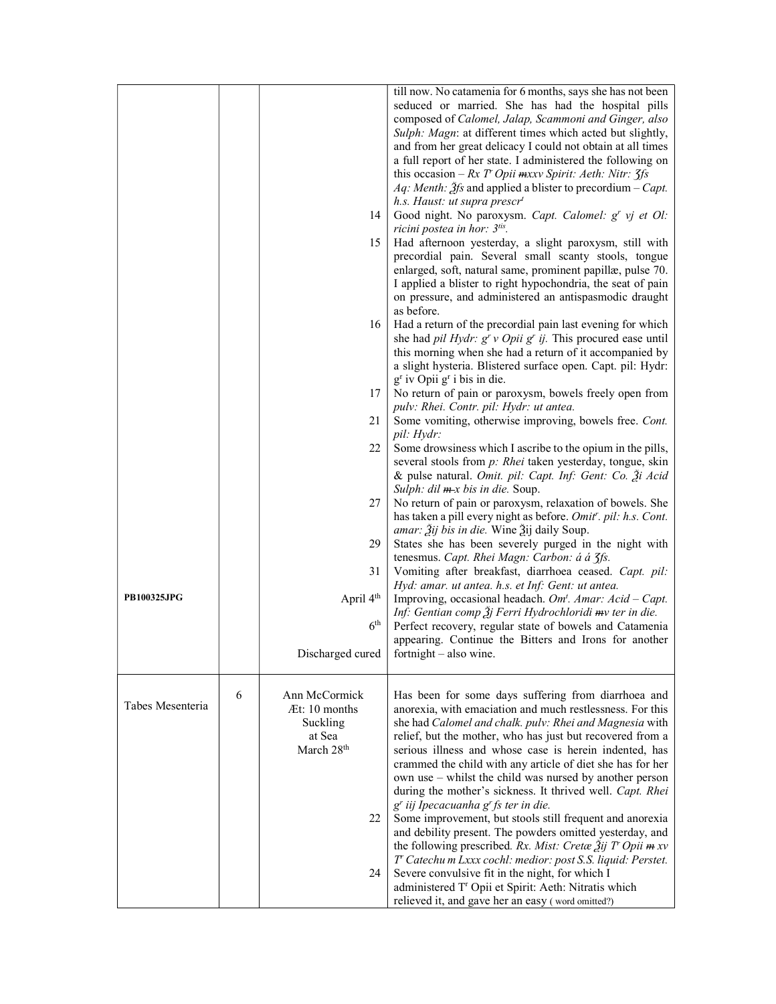|                  |   | 14<br>15                                                                             | till now. No catamenia for 6 months, says she has not been<br>seduced or married. She has had the hospital pills<br>composed of Calomel, Jalap, Scammoni and Ginger, also<br>Sulph: Magn: at different times which acted but slightly,<br>and from her great delicacy I could not obtain at all times<br>a full report of her state. I administered the following on<br>this occasion – $Rx T$ Opii $mxxy$ Spirit: Aeth: Nitr: $\zeta f$ s<br><i>Aq: Menth: <math>\tilde{f}</math>fs</i> and applied a blister to precordium – <i>Capt.</i><br>h.s. Haust: ut supra prescr <sup>t</sup><br>Good night. No paroxysm. Capt. Calomel: g' vj et Ol:<br>ricini postea in hor: 3tis.<br>Had afternoon yesterday, a slight paroxysm, still with<br>precordial pain. Several small scanty stools, tongue<br>enlarged, soft, natural same, prominent papillæ, pulse 70.<br>I applied a blister to right hypochondria, the seat of pain<br>on pressure, and administered an antispasmodic draught<br>as before. |
|------------------|---|--------------------------------------------------------------------------------------|-------------------------------------------------------------------------------------------------------------------------------------------------------------------------------------------------------------------------------------------------------------------------------------------------------------------------------------------------------------------------------------------------------------------------------------------------------------------------------------------------------------------------------------------------------------------------------------------------------------------------------------------------------------------------------------------------------------------------------------------------------------------------------------------------------------------------------------------------------------------------------------------------------------------------------------------------------------------------------------------------------|
|                  |   | 16                                                                                   | Had a return of the precordial pain last evening for which<br>she had pil Hydr: $gr$ v Opii $gr$ ij. This procured ease until<br>this morning when she had a return of it accompanied by<br>a slight hysteria. Blistered surface open. Capt. pil: Hydr:<br>g <sup>r</sup> iv Opii g <sup>r</sup> i bis in die.                                                                                                                                                                                                                                                                                                                                                                                                                                                                                                                                                                                                                                                                                        |
|                  |   | 17<br>21                                                                             | No return of pain or paroxysm, bowels freely open from<br>pulv: Rhei. Contr. pil: Hydr: ut antea.<br>Some vomiting, otherwise improving, bowels free. Cont.                                                                                                                                                                                                                                                                                                                                                                                                                                                                                                                                                                                                                                                                                                                                                                                                                                           |
|                  |   | 22                                                                                   | pil: Hydr:<br>Some drowsiness which I ascribe to the opium in the pills,                                                                                                                                                                                                                                                                                                                                                                                                                                                                                                                                                                                                                                                                                                                                                                                                                                                                                                                              |
|                  |   |                                                                                      | several stools from p: Rhei taken yesterday, tongue, skin<br>& pulse natural. Omit. pil: Capt. Inf: Gent: Co. 3i Acid<br>Sulph: $dil \, m \, x$ bis in die. Soup.                                                                                                                                                                                                                                                                                                                                                                                                                                                                                                                                                                                                                                                                                                                                                                                                                                     |
|                  |   | 27                                                                                   | No return of pain or paroxysm, relaxation of bowels. She<br>has taken a pill every night as before. Omit''. pil: h.s. Cont.<br><i>amar: Ѯij bis in die.</i> Wine Ѯij daily Soup.                                                                                                                                                                                                                                                                                                                                                                                                                                                                                                                                                                                                                                                                                                                                                                                                                      |
|                  |   | 29                                                                                   | States she has been severely purged in the night with<br>tenesmus. Capt. Rhei Magn: Carbon: á á 3fs.                                                                                                                                                                                                                                                                                                                                                                                                                                                                                                                                                                                                                                                                                                                                                                                                                                                                                                  |
| PB100325JPG      |   | 31                                                                                   | Vomiting after breakfast, diarrhoea ceased. Capt. pil:<br>Hyd: amar. ut antea. h.s. et Inf: Gent: ut antea.                                                                                                                                                                                                                                                                                                                                                                                                                                                                                                                                                                                                                                                                                                                                                                                                                                                                                           |
|                  |   | April 4 <sup>th</sup><br>6 <sup>th</sup>                                             | Improving, occasional headach. Om <sup>t</sup> . Amar: Acid - Capt.<br>Inf: Gentian comp $\tilde{A}$ j Ferri Hydrochloridi mv ter in die.<br>Perfect recovery, regular state of bowels and Catamenia                                                                                                                                                                                                                                                                                                                                                                                                                                                                                                                                                                                                                                                                                                                                                                                                  |
|                  |   | Discharged cured                                                                     | appearing. Continue the Bitters and Irons for another<br>fortnight – also wine.                                                                                                                                                                                                                                                                                                                                                                                                                                                                                                                                                                                                                                                                                                                                                                                                                                                                                                                       |
| Tabes Mesenteria | 6 | Ann McCormick<br>Æt: 10 months<br>Suckling<br>at Sea<br>March 28 <sup>th</sup><br>22 | Has been for some days suffering from diarrhoea and<br>anorexia, with emaciation and much restlessness. For this<br>she had Calomel and chalk. pulv: Rhei and Magnesia with<br>relief, but the mother, who has just but recovered from a<br>serious illness and whose case is herein indented, has<br>crammed the child with any article of diet she has for her<br>own use – whilst the child was nursed by another person<br>during the mother's sickness. It thrived well. Capt. Rhei<br>g <sup>r</sup> iij Ipecacuanha g <sup>r</sup> fs ter in die.<br>Some improvement, but stools still frequent and anorexia<br>and debility present. The powders omitted yesterday, and<br>the following prescribed. Rx. Mist: Cretæ $\tilde{A}$ ij T' Opii m xv                                                                                                                                                                                                                                             |
|                  |   | 24                                                                                   | T' Catechu m Lxxx cochl: medior: post S.S. liquid: Perstet.<br>Severe convulsive fit in the night, for which I<br>administered T <sup>r</sup> Opii et Spirit: Aeth: Nitratis which<br>relieved it, and gave her an easy (word omitted?)                                                                                                                                                                                                                                                                                                                                                                                                                                                                                                                                                                                                                                                                                                                                                               |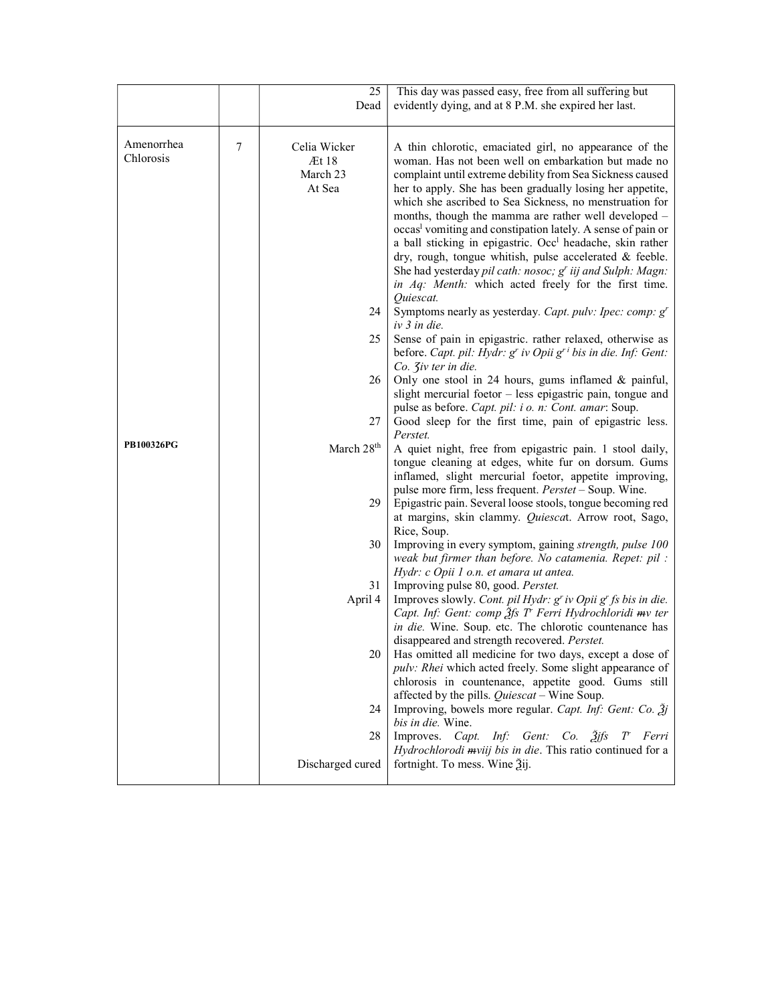|                         |        | 25                                          | This day was passed easy, free from all suffering but                                                                                                                                                                                                                                                                                                                                                                                                                                                                                                                                                                                                                                           |
|-------------------------|--------|---------------------------------------------|-------------------------------------------------------------------------------------------------------------------------------------------------------------------------------------------------------------------------------------------------------------------------------------------------------------------------------------------------------------------------------------------------------------------------------------------------------------------------------------------------------------------------------------------------------------------------------------------------------------------------------------------------------------------------------------------------|
|                         |        | Dead                                        | evidently dying, and at 8 P.M. she expired her last.                                                                                                                                                                                                                                                                                                                                                                                                                                                                                                                                                                                                                                            |
|                         |        |                                             |                                                                                                                                                                                                                                                                                                                                                                                                                                                                                                                                                                                                                                                                                                 |
| Amenorrhea<br>Chlorosis | $\tau$ | Celia Wicker<br>Æt 18<br>March 23<br>At Sea | A thin chlorotic, emaciated girl, no appearance of the<br>woman. Has not been well on embarkation but made no<br>complaint until extreme debility from Sea Sickness caused<br>her to apply. She has been gradually losing her appetite,<br>which she ascribed to Sea Sickness, no menstruation for<br>months, though the mamma are rather well developed -<br>occas <sup>l</sup> vomiting and constipation lately. A sense of pain or<br>a ball sticking in epigastric. Occ <sup>1</sup> headache, skin rather<br>dry, rough, tongue whitish, pulse accelerated & feeble.<br>She had yesterday pil cath: nosoc; g' iij and Sulph: Magn:<br>in Aq: Menth: which acted freely for the first time. |
|                         |        | 24                                          | Quiescat.<br>Symptoms nearly as yesterday. Capt. pulv: Ipec: comp: g'<br>iv 3 in die.                                                                                                                                                                                                                                                                                                                                                                                                                                                                                                                                                                                                           |
|                         |        | 25                                          | Sense of pain in epigastric. rather relaxed, otherwise as<br>before. Capt. pil: Hydr: $gr$ iv Opii $gr$ bis in die. Inf: Gent:<br>$Co.$ <i>Jiv ter in die.</i>                                                                                                                                                                                                                                                                                                                                                                                                                                                                                                                                  |
|                         |        | 26                                          | Only one stool in 24 hours, gums inflamed $\&$ painful,<br>slight mercurial foetor - less epigastric pain, tongue and<br>pulse as before. Capt. pil: i o. n: Cont. amar: Soup.                                                                                                                                                                                                                                                                                                                                                                                                                                                                                                                  |
|                         |        | 27                                          | Good sleep for the first time, pain of epigastric less.<br>Perstet.                                                                                                                                                                                                                                                                                                                                                                                                                                                                                                                                                                                                                             |
| <b>PB100326PG</b>       |        | March 28 <sup>th</sup><br>29                | A quiet night, free from epigastric pain. 1 stool daily,<br>tongue cleaning at edges, white fur on dorsum. Gums<br>inflamed, slight mercurial foetor, appetite improving,<br>pulse more firm, less frequent. Perstet - Soup. Wine.<br>Epigastric pain. Several loose stools, tongue becoming red                                                                                                                                                                                                                                                                                                                                                                                                |
|                         |        |                                             | at margins, skin clammy. Quiescat. Arrow root, Sago,<br>Rice, Soup.                                                                                                                                                                                                                                                                                                                                                                                                                                                                                                                                                                                                                             |
|                         |        | 30                                          | Improving in every symptom, gaining strength, pulse 100<br>weak but firmer than before. No catamenia. Repet: pil :<br>Hydr: c Opii 1 o.n. et amara ut antea.                                                                                                                                                                                                                                                                                                                                                                                                                                                                                                                                    |
|                         |        | 31<br>April 4                               | Improving pulse 80, good. Perstet.<br>Improves slowly. Cont. pil Hydr: $gr$ iv Opii $gr$ fs bis in die.<br>Capt. Inf: Gent: comp 3fs T Ferri Hydrochloridi mv ter<br>in die. Wine. Soup. etc. The chlorotic countenance has                                                                                                                                                                                                                                                                                                                                                                                                                                                                     |
|                         |        | 20                                          | disappeared and strength recovered. Perstet.<br>Has omitted all medicine for two days, except a dose of<br>pulv: Rhei which acted freely. Some slight appearance of<br>chlorosis in countenance, appetite good. Gums still                                                                                                                                                                                                                                                                                                                                                                                                                                                                      |
|                         |        | 24                                          | affected by the pills. Quiescat - Wine Soup.<br>Improving, bowels more regular. Capt. Inf: Gent: Co. 3j<br>bis in die. Wine.                                                                                                                                                                                                                                                                                                                                                                                                                                                                                                                                                                    |
|                         |        | 28                                          | Gent: $Co.$ $\tilde{2}$ jfs<br>Improves. Capt.<br>Inf:<br>T Ferri<br>Hydrochlorodi mviij bis in die. This ratio continued for a                                                                                                                                                                                                                                                                                                                                                                                                                                                                                                                                                                 |
|                         |        | Discharged cured                            | fortnight. To mess. Wine 3ij.                                                                                                                                                                                                                                                                                                                                                                                                                                                                                                                                                                                                                                                                   |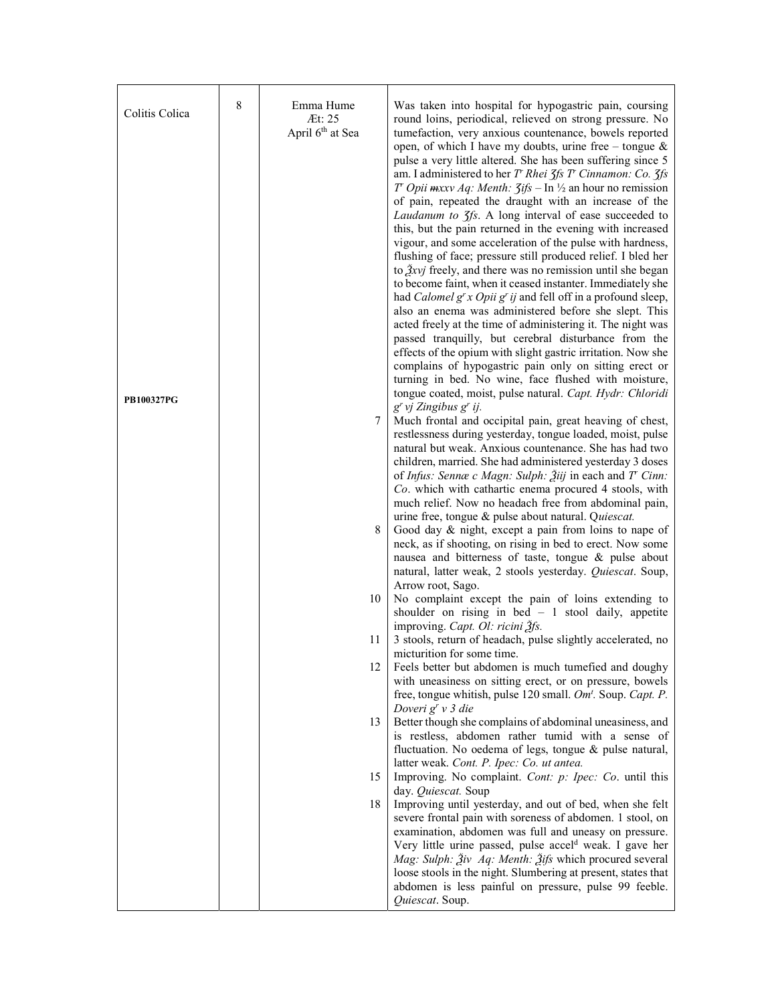| Colitis Colica    | 8 | Emma Hume<br>Æt: 25<br>April 6 <sup>th</sup> at Sea | Was taken into hospital for hypogastric pain, coursing<br>round loins, periodical, relieved on strong pressure. No<br>tumefaction, very anxious countenance, bowels reported<br>open, of which I have my doubts, urine free – tongue $\&$<br>pulse a very little altered. She has been suffering since 5<br>am. I administered to her $T$ Rhei $\zeta$ fs $T$ Cinnamon: Co. $\zeta$ fs<br>T' Opii $maxv Ag$ : Menth: $\zeta ifs - \ln \frac{1}{2}$ an hour no remission<br>of pain, repeated the draught with an increase of the<br>Laudanum to 3fs. A long interval of ease succeeded to<br>this, but the pain returned in the evening with increased<br>vigour, and some acceleration of the pulse with hardness,<br>flushing of face; pressure still produced relief. I bled her<br>to $\frac{3}{2}$ xvj freely, and there was no remission until she began<br>to become faint, when it ceased instanter. Immediately she<br>had <i>Calomel</i> $g^r x$ <i>Opii</i> $g^r$ <i>ij</i> and fell off in a profound sleep,<br>also an enema was administered before she slept. This<br>acted freely at the time of administering it. The night was<br>passed tranquilly, but cerebral disturbance from the<br>effects of the opium with slight gastric irritation. Now she<br>complains of hypogastric pain only on sitting erect or<br>turning in bed. No wine, face flushed with moisture,<br>tongue coated, moist, pulse natural. Capt. Hydr: Chloridi |
|-------------------|---|-----------------------------------------------------|---------------------------------------------------------------------------------------------------------------------------------------------------------------------------------------------------------------------------------------------------------------------------------------------------------------------------------------------------------------------------------------------------------------------------------------------------------------------------------------------------------------------------------------------------------------------------------------------------------------------------------------------------------------------------------------------------------------------------------------------------------------------------------------------------------------------------------------------------------------------------------------------------------------------------------------------------------------------------------------------------------------------------------------------------------------------------------------------------------------------------------------------------------------------------------------------------------------------------------------------------------------------------------------------------------------------------------------------------------------------------------------------------------------------------------------------------------|
| <b>PB100327PG</b> |   | 7<br>8                                              | g' vj Zingibus g' ij.<br>Much frontal and occipital pain, great heaving of chest,<br>restlessness during yesterday, tongue loaded, moist, pulse<br>natural but weak. Anxious countenance. She has had two<br>children, married. She had administered yesterday 3 doses<br>of Infus: Sennæ c Magn: Sulph: $2$ iij in each and T' Cinn:<br>Co. which with cathartic enema procured 4 stools, with<br>much relief. Now no headach free from abdominal pain,<br>urine free, tongue & pulse about natural. Quiescat.<br>Good day & night, except a pain from loins to nape of<br>neck, as if shooting, on rising in bed to erect. Now some<br>nausea and bitterness of taste, tongue & pulse about<br>natural, latter weak, 2 stools yesterday. Quiescat. Soup,<br>Arrow root, Sago.                                                                                                                                                                                                                                                                                                                                                                                                                                                                                                                                                                                                                                                                         |
|                   |   | 10<br>11                                            | No complaint except the pain of loins extending to<br>shoulder on rising in bed $-1$ stool daily, appetite<br>improving. Capt. Ol: ricini 3fs.<br>3 stools, return of headach, pulse slightly accelerated, no                                                                                                                                                                                                                                                                                                                                                                                                                                                                                                                                                                                                                                                                                                                                                                                                                                                                                                                                                                                                                                                                                                                                                                                                                                           |
|                   |   | 12                                                  | micturition for some time.<br>Feels better but abdomen is much tumefied and doughy<br>with uneasiness on sitting erect, or on pressure, bowels<br>free, tongue whitish, pulse 120 small. Om <sup>t</sup> . Soup. Capt. P.<br>Doveri g <sup>r</sup> v 3 die                                                                                                                                                                                                                                                                                                                                                                                                                                                                                                                                                                                                                                                                                                                                                                                                                                                                                                                                                                                                                                                                                                                                                                                              |
|                   |   | 13                                                  | Better though she complains of abdominal uneasiness, and<br>is restless, abdomen rather tumid with a sense of<br>fluctuation. No oedema of legs, tongue & pulse natural,<br>latter weak. Cont. P. Ipec: Co. ut antea.                                                                                                                                                                                                                                                                                                                                                                                                                                                                                                                                                                                                                                                                                                                                                                                                                                                                                                                                                                                                                                                                                                                                                                                                                                   |
|                   |   | 15                                                  | Improving. No complaint. Cont: p: Ipec: Co. until this<br>day. Quiescat. Soup                                                                                                                                                                                                                                                                                                                                                                                                                                                                                                                                                                                                                                                                                                                                                                                                                                                                                                                                                                                                                                                                                                                                                                                                                                                                                                                                                                           |
|                   |   | 18                                                  | Improving until yesterday, and out of bed, when she felt<br>severe frontal pain with soreness of abdomen. 1 stool, on<br>examination, abdomen was full and uneasy on pressure.<br>Very little urine passed, pulse accel <sup>d</sup> weak. I gave her<br>Mag: Sulph: Živ Aq: Menth: Žifs which procured several<br>loose stools in the night. Slumbering at present, states that<br>abdomen is less painful on pressure, pulse 99 feeble.<br>Quiescat. Soup.                                                                                                                                                                                                                                                                                                                                                                                                                                                                                                                                                                                                                                                                                                                                                                                                                                                                                                                                                                                            |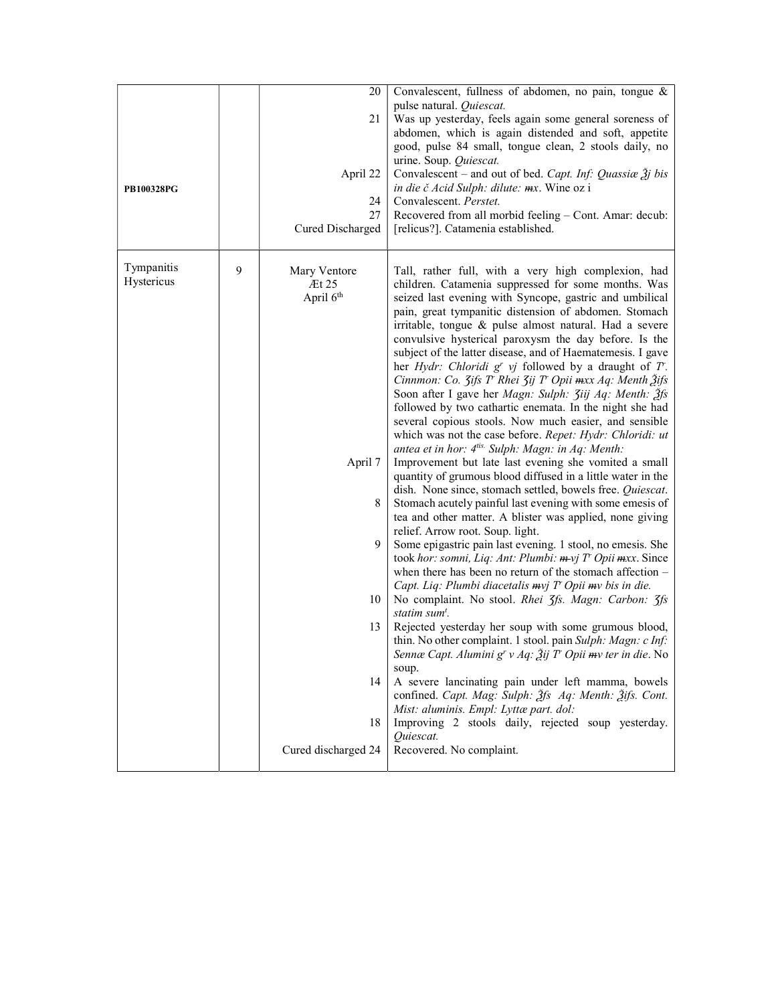| PB100328PG               |   | 20<br>21<br>April 22<br>24<br>27<br>Cured Discharged             | Convalescent, fullness of abdomen, no pain, tongue &<br>pulse natural. Quiescat.<br>Was up yesterday, feels again some general soreness of<br>abdomen, which is again distended and soft, appetite<br>good, pulse 84 small, tongue clean, 2 stools daily, no<br>urine. Soup. Quiescat.<br>Convalescent – and out of bed. Capt. Inf: Quassiae $\tilde{g}j$ bis<br><i>in die č Acid Sulph: dilute: mx.</i> Wine oz i<br>Convalescent. Perstet.<br>Recovered from all morbid feeling - Cont. Amar: decub:<br>[relicus?]. Catamenia established.                                                                                                                                                                                                                                                                                                                                                                                                                                                                                                                                                                                                                                                                  |
|--------------------------|---|------------------------------------------------------------------|---------------------------------------------------------------------------------------------------------------------------------------------------------------------------------------------------------------------------------------------------------------------------------------------------------------------------------------------------------------------------------------------------------------------------------------------------------------------------------------------------------------------------------------------------------------------------------------------------------------------------------------------------------------------------------------------------------------------------------------------------------------------------------------------------------------------------------------------------------------------------------------------------------------------------------------------------------------------------------------------------------------------------------------------------------------------------------------------------------------------------------------------------------------------------------------------------------------|
| Tympanitis<br>Hystericus | 9 | Mary Ventore<br>$\mathbb{H}25$<br>April 6 <sup>th</sup>          | Tall, rather full, with a very high complexion, had<br>children. Catamenia suppressed for some months. Was<br>seized last evening with Syncope, gastric and umbilical<br>pain, great tympanitic distension of abdomen. Stomach<br>irritable, tongue & pulse almost natural. Had a severe<br>convulsive hysterical paroxysm the day before. Is the<br>subject of the latter disease, and of Haematemesis. I gave<br>her <i>Hydr: Chloridi</i> $gr$ <i>vj</i> followed by a draught of $T$ .<br>Cinnmon: Co. 3ifs T' Rhei 3ij T' Opii mxx Aq: Menth 3ifs<br>Soon after I gave her Magn: Sulph: Jiij Aq: Menth: 2fs<br>followed by two cathartic enemata. In the night she had<br>several copious stools. Now much easier, and sensible<br>which was not the case before. Repet: Hydr: Chloridi: ut                                                                                                                                                                                                                                                                                                                                                                                                              |
|                          |   | April 7<br>8<br>9<br>10<br>13<br>14<br>18<br>Cured discharged 24 | antea et in hor: 4tis. Sulph: Magn: in Aq: Menth:<br>Improvement but late last evening she vomited a small<br>quantity of grumous blood diffused in a little water in the<br>dish. None since, stomach settled, bowels free. Quiescat.<br>Stomach acutely painful last evening with some emesis of<br>tea and other matter. A blister was applied, none giving<br>relief. Arrow root. Soup. light.<br>Some epigastric pain last evening. 1 stool, no emesis. She<br>took hor: somni, Liq: Ant: Plumbi: m-vj T' Opii mxx. Since<br>when there has been no return of the stomach affection $-$<br>Capt. Liq: Plumbi diacetalis mvj T' Opii mv bis in die.<br>No complaint. No stool. Rhei 3fs. Magn: Carbon: 3fs<br>statim sum <sup>t</sup> .<br>Rejected yesterday her soup with some grumous blood,<br>thin. No other complaint. 1 stool. pain Sulph: Magn: c Inf:<br>Sennæ Capt. Alumini g' v Aq: $\tilde{A}$ ij T' Opii mv ter in die. No<br>soup.<br>A severe lancinating pain under left mamma, bowels<br>confined. Capt. Mag: Sulph: 3fs Aq: Menth: 3tfs. Cont.<br>Mist: aluminis. Empl: Lyttæ part. dol:<br>Improving 2 stools daily, rejected soup yesterday.<br>Quiescat.<br>Recovered. No complaint. |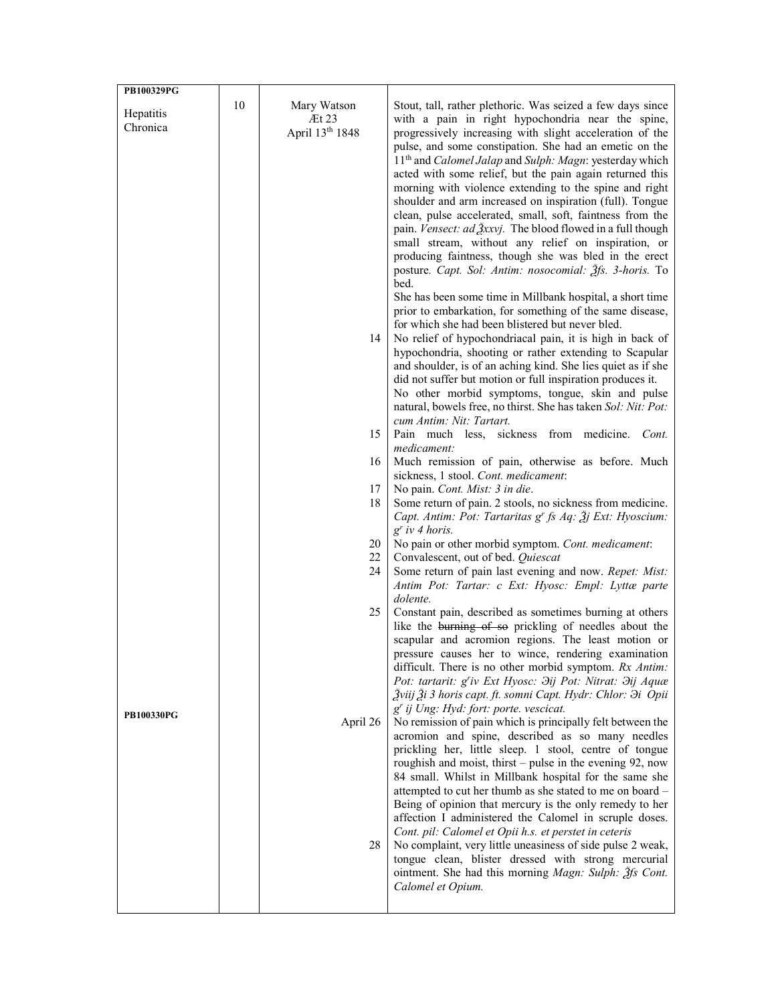| <b>PB100329PG</b> |    |                             |                                                                                                                    |
|-------------------|----|-----------------------------|--------------------------------------------------------------------------------------------------------------------|
| Hepatitis         | 10 | Mary Watson                 | Stout, tall, rather plethoric. Was seized a few days since                                                         |
| Chronica          |    | $\mathbb{H}$ 23             | with a pain in right hypochondria near the spine,                                                                  |
|                   |    | April 13 <sup>th</sup> 1848 | progressively increasing with slight acceleration of the<br>pulse, and some constipation. She had an emetic on the |
|                   |    |                             | 11 <sup>th</sup> and <i>Calomel Jalap</i> and <i>Sulph: Magn</i> : yesterday which                                 |
|                   |    |                             | acted with some relief, but the pain again returned this                                                           |
|                   |    |                             | morning with violence extending to the spine and right                                                             |
|                   |    |                             | shoulder and arm increased on inspiration (full). Tongue                                                           |
|                   |    |                             | clean, pulse accelerated, small, soft, faintness from the                                                          |
|                   |    |                             | pain. Vensect: ad 3xxvj. The blood flowed in a full though<br>small stream, without any relief on inspiration, or  |
|                   |    |                             | producing faintness, though she was bled in the erect                                                              |
|                   |    |                             | posture. Capt. Sol: Antim: nosocomial: 2fs. 3-horis. To                                                            |
|                   |    |                             | bed.                                                                                                               |
|                   |    |                             | She has been some time in Millbank hospital, a short time                                                          |
|                   |    |                             | prior to embarkation, for something of the same disease,                                                           |
|                   |    | 14                          | for which she had been blistered but never bled.<br>No relief of hypochondriacal pain, it is high in back of       |
|                   |    |                             | hypochondria, shooting or rather extending to Scapular                                                             |
|                   |    |                             | and shoulder, is of an aching kind. She lies quiet as if she                                                       |
|                   |    |                             | did not suffer but motion or full inspiration produces it.                                                         |
|                   |    |                             | No other morbid symptoms, tongue, skin and pulse                                                                   |
|                   |    |                             | natural, bowels free, no thirst. She has taken Sol: Nit: Pot:                                                      |
|                   |    | 15                          | cum Antim: Nit: Tartart.<br>Pain much less, sickness from medicine.<br>Cont.                                       |
|                   |    |                             | medicament:                                                                                                        |
|                   |    | 16                          | Much remission of pain, otherwise as before. Much                                                                  |
|                   |    |                             | sickness, 1 stool. Cont. medicament:                                                                               |
|                   |    | 17<br>18                    | No pain. Cont. Mist: 3 in die.<br>Some return of pain. 2 stools, no sickness from medicine.                        |
|                   |    |                             | Capt. Antim: Pot: Tartaritas $g^r$ fs Aq: $\tilde{g}$ j Ext: Hyoscium:                                             |
|                   |    |                             | $g^r$ iv 4 horis.                                                                                                  |
|                   |    | 20                          | No pain or other morbid symptom. Cont. medicament:                                                                 |
|                   |    | 22<br>24                    | Convalescent, out of bed. Quiescat                                                                                 |
|                   |    |                             | Some return of pain last evening and now. Repet: Mist:<br>Antim Pot: Tartar: c Ext: Hyosc: Empl: Lyttæ parte       |
|                   |    |                             | dolente.                                                                                                           |
|                   |    | 25                          | Constant pain, described as sometimes burning at others                                                            |
|                   |    |                             | like the burning of so prickling of needles about the                                                              |
|                   |    |                             | scapular and acromion regions. The least motion or<br>pressure causes her to wince, rendering examination          |
|                   |    |                             | difficult. There is no other morbid symptom. Rx Antim:                                                             |
|                   |    |                             | Pot: tartarit: g'iv Ext Hyosc: Jij Pot: Nitrat: Jij Aquæ                                                           |
|                   |    |                             | Žviij Ži 3 horis capt. ft. somni Capt. Hydr: Chlor: $\partial i$ Opii                                              |
| <b>PB100330PG</b> |    |                             | g' ij Ung: Hyd: fort: porte. vescicat.                                                                             |
|                   |    | April 26                    | No remission of pain which is principally felt between the<br>acromion and spine, described as so many needles     |
|                   |    |                             | prickling her, little sleep. 1 stool, centre of tongue                                                             |
|                   |    |                             | roughish and moist, thirst – pulse in the evening 92, now                                                          |
|                   |    |                             | 84 small. Whilst in Millbank hospital for the same she                                                             |
|                   |    |                             | attempted to cut her thumb as she stated to me on board -                                                          |
|                   |    |                             | Being of opinion that mercury is the only remedy to her<br>affection I administered the Calomel in scruple doses.  |
|                   |    |                             | Cont. pil: Calomel et Opii h.s. et perstet in ceteris                                                              |
|                   |    | 28                          | No complaint, very little uneasiness of side pulse 2 weak,                                                         |
|                   |    |                             | tongue clean, blister dressed with strong mercurial                                                                |
|                   |    |                             | ointment. She had this morning <i>Magn: Sulph: 3fs Cont.</i>                                                       |
|                   |    |                             | Calomel et Opium.                                                                                                  |
|                   |    |                             |                                                                                                                    |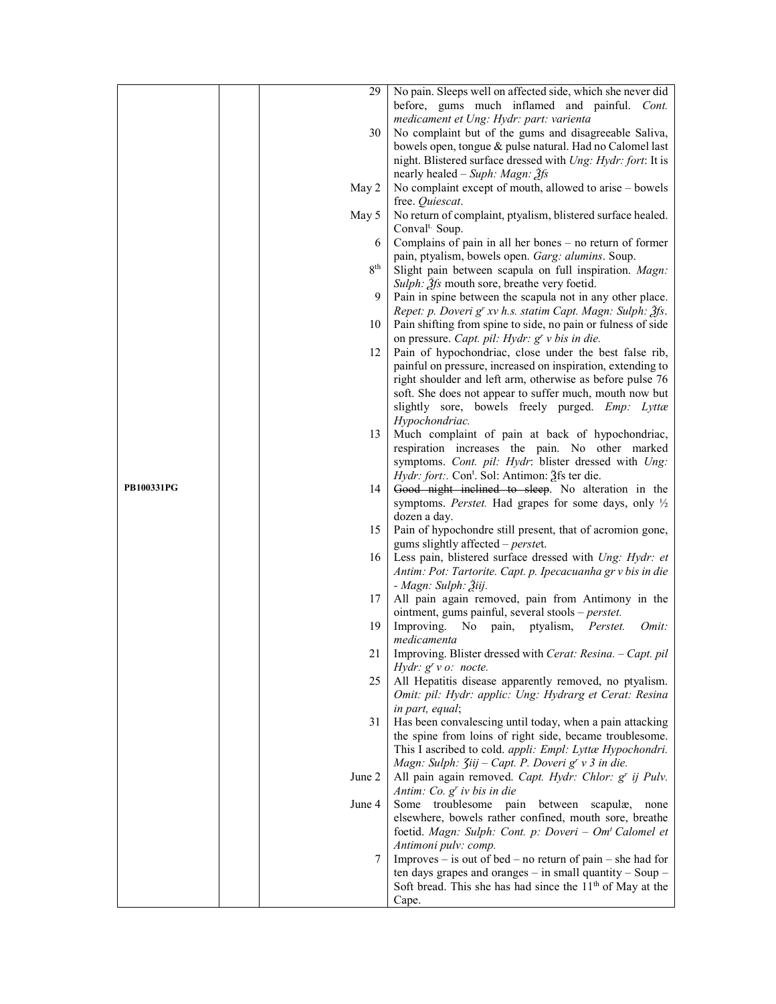|                   | 29              | No pain. Sleeps well on affected side, which she never did        |
|-------------------|-----------------|-------------------------------------------------------------------|
|                   |                 | before, gums much inflamed and painful. Cont.                     |
|                   |                 |                                                                   |
|                   |                 | medicament et Ung: Hydr: part: varienta                           |
|                   | 30              | No complaint but of the gums and disagreeable Saliva,             |
|                   |                 | bowels open, tongue & pulse natural. Had no Calomel last          |
|                   |                 | night. Blistered surface dressed with Ung: Hydr: fort: It is      |
|                   |                 | nearly healed – Suph: Magn: $\tilde{\mathcal{A}}$ fs              |
|                   | May 2           | No complaint except of mouth, allowed to arise – bowels           |
|                   |                 | free. Quiescat.                                                   |
|                   | May 5           | No return of complaint, ptyalism, blistered surface healed.       |
|                   |                 | Conval <sup>t.</sup> Soup.                                        |
|                   | 6               | Complains of pain in all her bones $-$ no return of former        |
|                   |                 | pain, ptyalism, bowels open. Garg: alumins. Soup.                 |
|                   | 8 <sup>th</sup> | Slight pain between scapula on full inspiration. Magn:            |
|                   |                 | Sulph: 3fs mouth sore, breathe very foetid.                       |
|                   | 9               | Pain in spine between the scapula not in any other place.         |
|                   |                 | Repet: p. Doveri g' xv h.s. statim Capt. Magn: Sulph: 3fs.        |
|                   | 10              | Pain shifting from spine to side, no pain or fulness of side      |
|                   |                 |                                                                   |
|                   |                 | on pressure. Capt. pil: Hydr: $gr$ v bis in die.                  |
|                   | 12              | Pain of hypochondriac, close under the best false rib,            |
|                   |                 | painful on pressure, increased on inspiration, extending to       |
|                   |                 | right shoulder and left arm, otherwise as before pulse 76         |
|                   |                 | soft. She does not appear to suffer much, mouth now but           |
|                   |                 | slightly sore, bowels freely purged. Emp: Lyttæ                   |
|                   |                 | Hypochondriac.                                                    |
|                   | 13              | Much complaint of pain at back of hypochondriac,                  |
|                   |                 | respiration increases the pain. No other marked                   |
|                   |                 | symptoms. Cont. pil: Hydr: blister dressed with Ung:              |
|                   |                 | <i>Hydr: fort:.</i> Con <sup>t</sup> . Sol: Antimon: 2fs ter die. |
| <b>PB100331PG</b> | 14              | Good night inclined to sleep. No alteration in the                |
|                   |                 | symptoms. Perstet. Had grapes for some days, only $\frac{1}{2}$   |
|                   |                 | dozen a day.                                                      |
|                   | 15              | Pain of hypochondre still present, that of acromion gone,         |
|                   |                 | gums slightly affected – perstet.                                 |
|                   | 16              | Less pain, blistered surface dressed with Ung: Hydr: et           |
|                   |                 | Antim: Pot: Tartorite. Capt. p. Ipecacuanha gr v bis in die       |
|                   |                 | - Magn: Sulph: Žiij.                                              |
|                   | 17              | All pain again removed, pain from Antimony in the                 |
|                   |                 | ointment, gums painful, several stools - perstet.                 |
|                   | 19              | No pain, ptyalism,<br>Improving.<br>Perstet.<br>Omit:             |
|                   |                 | medicamenta                                                       |
|                   | 21              | Improving. Blister dressed with Cerat: Resina. - Capt. pil        |
|                   |                 | Hydr: $gr$ v $o$ : nocte.                                         |
|                   | 25              | All Hepatitis disease apparently removed, no ptyalism.            |
|                   |                 | Omit: pil: Hydr: applic: Ung: Hydrarg et Cerat: Resina            |
|                   |                 | in part, equal;                                                   |
|                   | 31              | Has been convalescing until today, when a pain attacking          |
|                   |                 | the spine from loins of right side, became troublesome.           |
|                   |                 | This I ascribed to cold. appli: Empl: Lyttæ Hypochondri.          |
|                   |                 | Magn: Sulph: <i>Jiij - Capt. P. Doveri g' v 3 in die.</i>         |
|                   | June 2          | All pain again removed. Capt. Hydr: Chlor: g' ij Pulv.            |
|                   |                 | Antim: Co. $gr$ iv bis in die                                     |
|                   | June 4          |                                                                   |
|                   |                 | Some troublesome pain between<br>scapulæ,<br>none                 |
|                   |                 | elsewhere, bowels rather confined, mouth sore, breathe            |
|                   |                 | foetid. Magn: Sulph: Cont. p: Doveri - Om <sup>t</sup> Calomel et |
|                   |                 | Antimoni pulv: comp.                                              |
|                   | 7               | Improves – is out of bed – no return of pain – she had for        |
|                   |                 | ten days grapes and oranges $-$ in small quantity $-$ Soup $-$    |
|                   |                 | Soft bread. This she has had since the $11th$ of May at the       |
|                   |                 | Cape.                                                             |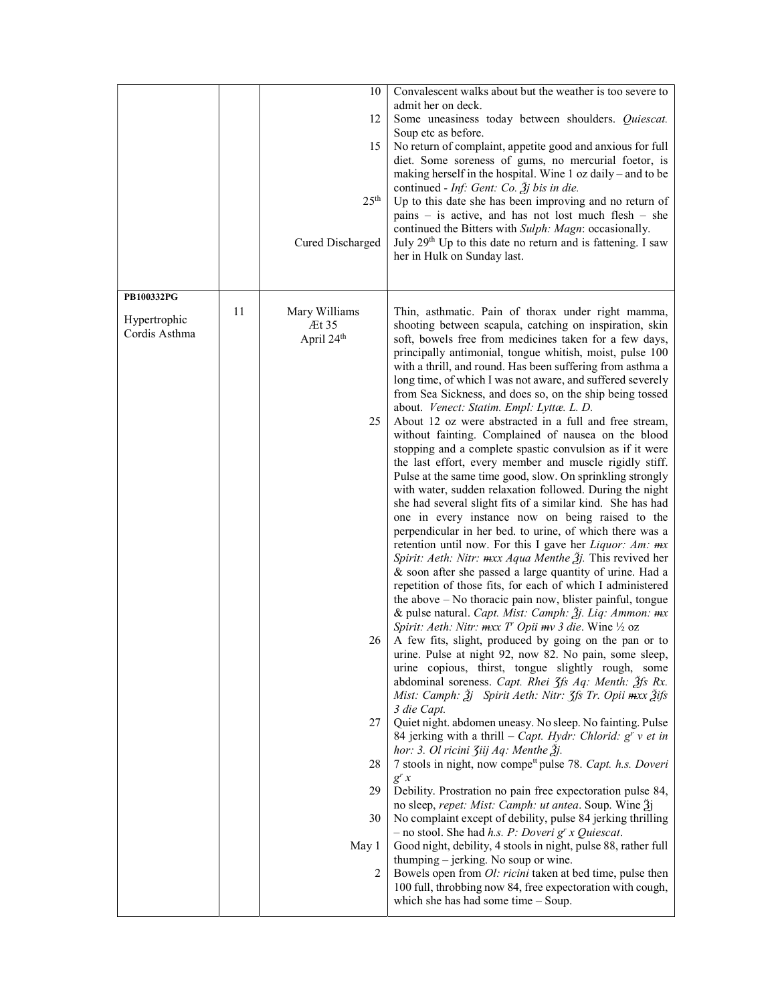|                               |    | 10<br>12<br>15<br>25 <sup>th</sup><br>Cured Discharged | Convalescent walks about but the weather is too severe to<br>admit her on deck.<br>Some uneasiness today between shoulders. Quiescat.<br>Soup etc as before.<br>No return of complaint, appetite good and anxious for full<br>diet. Some soreness of gums, no mercurial foetor, is<br>making herself in the hospital. Wine 1 oz daily – and to be<br>continued - <i>Inf:</i> Gent: Co. $\tilde{A}$ <i>j</i> bis in die.<br>Up to this date she has been improving and no return of<br>pains – is active, and has not lost much flesh – she<br>continued the Bitters with Sulph: Magn: occasionally.<br>July 29 <sup>th</sup> Up to this date no return and is fattening. I saw<br>her in Hulk on Sunday last.                                                                                                                                                                                                                                                                                                                                                                                                                                                                                                                                                                                                                                                                                                       |
|-------------------------------|----|--------------------------------------------------------|---------------------------------------------------------------------------------------------------------------------------------------------------------------------------------------------------------------------------------------------------------------------------------------------------------------------------------------------------------------------------------------------------------------------------------------------------------------------------------------------------------------------------------------------------------------------------------------------------------------------------------------------------------------------------------------------------------------------------------------------------------------------------------------------------------------------------------------------------------------------------------------------------------------------------------------------------------------------------------------------------------------------------------------------------------------------------------------------------------------------------------------------------------------------------------------------------------------------------------------------------------------------------------------------------------------------------------------------------------------------------------------------------------------------|
| PB100332PG                    | 11 | Mary Williams                                          |                                                                                                                                                                                                                                                                                                                                                                                                                                                                                                                                                                                                                                                                                                                                                                                                                                                                                                                                                                                                                                                                                                                                                                                                                                                                                                                                                                                                                     |
| Hypertrophic<br>Cordis Asthma |    | Æt 35<br>April 24 <sup>th</sup><br>25                  | Thin, asthmatic. Pain of thorax under right mamma,<br>shooting between scapula, catching on inspiration, skin<br>soft, bowels free from medicines taken for a few days,<br>principally antimonial, tongue whitish, moist, pulse 100<br>with a thrill, and round. Has been suffering from asthma a<br>long time, of which I was not aware, and suffered severely<br>from Sea Sickness, and does so, on the ship being tossed<br>about. Venect: Statim. Empl: Lyttæ. L. D.<br>About 12 oz were abstracted in a full and free stream,<br>without fainting. Complained of nausea on the blood<br>stopping and a complete spastic convulsion as if it were<br>the last effort, every member and muscle rigidly stiff.<br>Pulse at the same time good, slow. On sprinkling strongly<br>with water, sudden relaxation followed. During the night<br>she had several slight fits of a similar kind. She has had<br>one in every instance now on being raised to the<br>perpendicular in her bed. to urine, of which there was a<br>retention until now. For this I gave her <i>Liquor: Am:</i> $mx$<br>Spirit: Aeth: Nitr: mxx Aqua Menthe 3 <i>j</i> . This revived her<br>& soon after she passed a large quantity of urine. Had a<br>repetition of those fits, for each of which I administered<br>the above $-$ No thoracic pain now, blister painful, tongue<br>& pulse natural. Capt. Mist: Camph: 3j. Liq: Ammon: mx |
|                               |    | 26                                                     | Spirit: Aeth: Nitr: mxx T <sup>r</sup> Opii mv 3 die. Wine 1/2 oz<br>A few fits, slight, produced by going on the pan or to<br>urine. Pulse at night 92, now 82. No pain, some sleep,<br>urine copious, thirst, tongue slightly rough, some<br>abdominal soreness. Capt. Rhei 3fs Aq: Menth: 3fs Rx.<br>Mist: Camph: $\tilde{g}$ j Spirit Aeth: Nitr: $\tilde{g}$ fs Tr. Opii $\tilde{m}$ xx $\tilde{g}$ ifs                                                                                                                                                                                                                                                                                                                                                                                                                                                                                                                                                                                                                                                                                                                                                                                                                                                                                                                                                                                                        |
|                               |    | 27                                                     | 3 die Capt.<br>Quiet night. abdomen uneasy. No sleep. No fainting. Pulse<br>84 jerking with a thrill - Capt. Hydr: Chlorid: $g^{r}$ v et in                                                                                                                                                                                                                                                                                                                                                                                                                                                                                                                                                                                                                                                                                                                                                                                                                                                                                                                                                                                                                                                                                                                                                                                                                                                                         |
|                               |    | 28                                                     | hor: 3. Ol ricini Ziij Aq: Menthe Žj.<br>7 stools in night, now compe <sup>tt</sup> pulse 78. Capt. h.s. Doveri                                                                                                                                                                                                                                                                                                                                                                                                                                                                                                                                                                                                                                                                                                                                                                                                                                                                                                                                                                                                                                                                                                                                                                                                                                                                                                     |
|                               |    | 29<br>30                                               | $g^{r}$ x<br>Debility. Prostration no pain free expectoration pulse 84,<br>no sleep, repet: Mist: Camph: ut antea. Soup. Wine 2j<br>No complaint except of debility, pulse 84 jerking thrilling                                                                                                                                                                                                                                                                                                                                                                                                                                                                                                                                                                                                                                                                                                                                                                                                                                                                                                                                                                                                                                                                                                                                                                                                                     |
|                               |    | May 1                                                  | - no stool. She had h.s. P: Doveri $g^r x$ Quiescat.<br>Good night, debility, 4 stools in night, pulse 88, rather full                                                                                                                                                                                                                                                                                                                                                                                                                                                                                                                                                                                                                                                                                                                                                                                                                                                                                                                                                                                                                                                                                                                                                                                                                                                                                              |
|                               |    | 2                                                      | thumping – jerking. No soup or wine.<br>Bowels open from <i>Ol: ricini</i> taken at bed time, pulse then<br>100 full, throbbing now 84, free expectoration with cough,<br>which she has had some time $-$ Soup.                                                                                                                                                                                                                                                                                                                                                                                                                                                                                                                                                                                                                                                                                                                                                                                                                                                                                                                                                                                                                                                                                                                                                                                                     |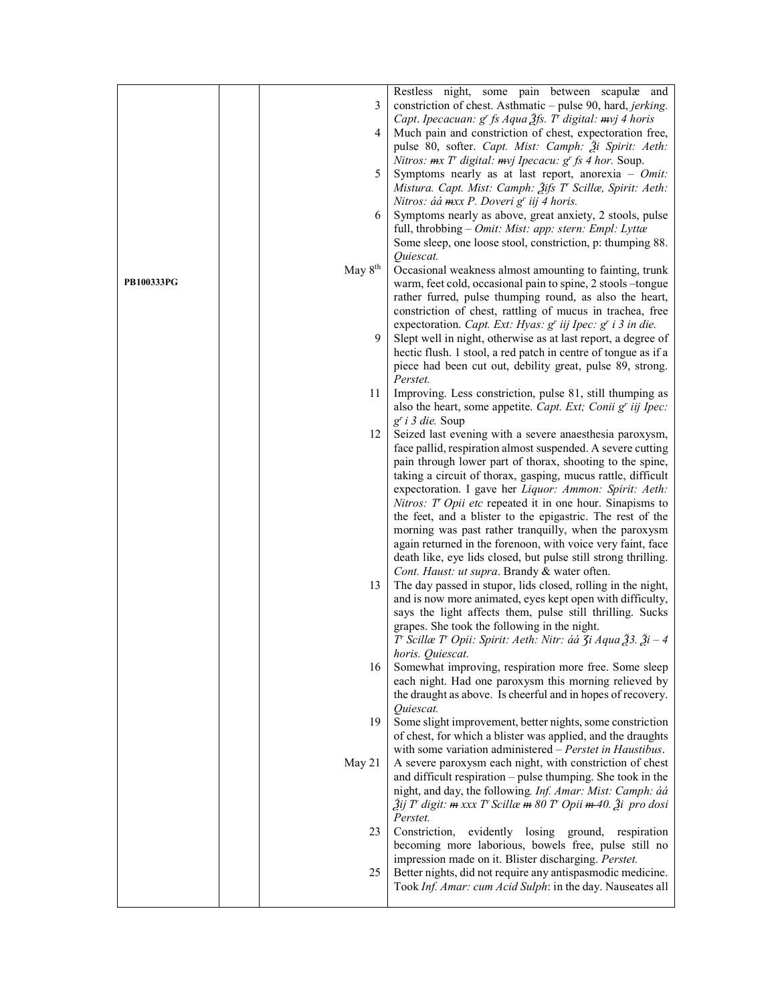|            |                     | Restless night, some pain between scapulæ and                                                                                      |
|------------|---------------------|------------------------------------------------------------------------------------------------------------------------------------|
|            | 3                   | constriction of chest. Asthmatic – pulse 90, hard, jerking.                                                                        |
|            |                     | Capt. Ipecacuan: g' fs Aqua Ѯfs. T' digital: mvj 4 horis                                                                           |
|            | 4                   | Much pain and constriction of chest, expectoration free,                                                                           |
|            |                     | pulse 80, softer. Capt. Mist: Camph: Ži Spirit: Aeth:                                                                              |
|            |                     | Nitros: $mx T$ digital: $my$ Ipecacu: $gr$ fs 4 hor. Soup.                                                                         |
|            | 5                   | Symptoms nearly as at last report, anorexia - $Omit$ :                                                                             |
|            |                     | Mistura. Capt. Mist: Camph: Žifs T' Scillæ, Spirit: Aeth:                                                                          |
|            |                     | Nitros: áá mxx P. Doveri g' iij 4 horis.                                                                                           |
|            | 6                   | Symptoms nearly as above, great anxiety, 2 stools, pulse                                                                           |
|            |                     | full, throbbing - Omit: Mist: app: stern: Empl: Lyttæ                                                                              |
|            |                     | Some sleep, one loose stool, constriction, p: thumping 88.                                                                         |
|            |                     | Quiescat.                                                                                                                          |
|            | May 8 <sup>th</sup> | Occasional weakness almost amounting to fainting, trunk                                                                            |
| PB100333PG |                     | warm, feet cold, occasional pain to spine, 2 stools -tongue                                                                        |
|            |                     | rather furred, pulse thumping round, as also the heart,                                                                            |
|            |                     | constriction of chest, rattling of mucus in trachea, free                                                                          |
|            |                     | expectoration. Capt. Ext: Hyas: g' iij Ipec: g' i 3 in die.                                                                        |
|            | 9                   | Slept well in night, otherwise as at last report, a degree of                                                                      |
|            |                     | hectic flush. 1 stool, a red patch in centre of tongue as if a                                                                     |
|            |                     | piece had been cut out, debility great, pulse 89, strong.                                                                          |
|            |                     | Perstet.                                                                                                                           |
|            | 11                  | Improving. Less constriction, pulse 81, still thumping as                                                                          |
|            |                     | also the heart, some appetite. Capt. Ext; Conii g' iij Ipec:                                                                       |
|            |                     | $g'$ i 3 die. Soup                                                                                                                 |
|            | 12                  | Seized last evening with a severe anaesthesia paroxysm,<br>face pallid, respiration almost suspended. A severe cutting             |
|            |                     | pain through lower part of thorax, shooting to the spine,                                                                          |
|            |                     | taking a circuit of thorax, gasping, mucus rattle, difficult                                                                       |
|            |                     | expectoration. I gave her Liquor: Ammon: Spirit: Aeth:                                                                             |
|            |                     | Nitros: T Opii etc repeated it in one hour. Sinapisms to                                                                           |
|            |                     | the feet, and a blister to the epigastric. The rest of the                                                                         |
|            |                     | morning was past rather tranquilly, when the paroxysm                                                                              |
|            |                     | again returned in the forenoon, with voice very faint, face                                                                        |
|            |                     | death like, eye lids closed, but pulse still strong thrilling.                                                                     |
|            |                     | Cont. Haust: ut supra. Brandy & water often.                                                                                       |
|            | 13                  | The day passed in stupor, lids closed, rolling in the night,                                                                       |
|            |                     | and is now more animated, eyes kept open with difficulty,                                                                          |
|            |                     | says the light affects them, pulse still thrilling. Sucks                                                                          |
|            |                     | grapes. She took the following in the night.                                                                                       |
|            |                     | $T$ Scillæ $T$ Opii: Spirit: Aeth: Nitr: áá $\zeta$ i Aqua $\zeta$ 3. $\zeta$ i - 4                                                |
|            |                     | horis. Quiescat.                                                                                                                   |
|            | 16                  | Somewhat improving, respiration more free. Some sleep                                                                              |
|            |                     | each night. Had one paroxysm this morning relieved by                                                                              |
|            |                     | the draught as above. Is cheerful and in hopes of recovery.                                                                        |
|            |                     | Quiescat.                                                                                                                          |
|            | 19                  | Some slight improvement, better nights, some constriction                                                                          |
|            |                     | of chest, for which a blister was applied, and the draughts<br>with some variation administered – Perstet in Haustibus.            |
|            | May 21              | A severe paroxysm each night, with constriction of chest                                                                           |
|            |                     | and difficult respiration – pulse thumping. She took in the                                                                        |
|            |                     | night, and day, the following. Inf. Amar: Mist: Camph: áá                                                                          |
|            |                     | Ѯij T <sup>r</sup> digit: <del>m</del> xxx T <sup>r</sup> Scillæ <del>m</del> 80 T <sup>r</sup> Opii <del>m</del> -40. Ѯi pro dosi |
|            |                     | Perstet.                                                                                                                           |
|            | 23                  | Constriction, evidently losing ground, respiration                                                                                 |
|            |                     | becoming more laborious, bowels free, pulse still no                                                                               |
|            |                     | impression made on it. Blister discharging. Perstet.                                                                               |
|            | 25                  | Better nights, did not require any antispasmodic medicine.                                                                         |
|            |                     | Took Inf. Amar: cum Acid Sulph: in the day. Nauseates all                                                                          |
|            |                     |                                                                                                                                    |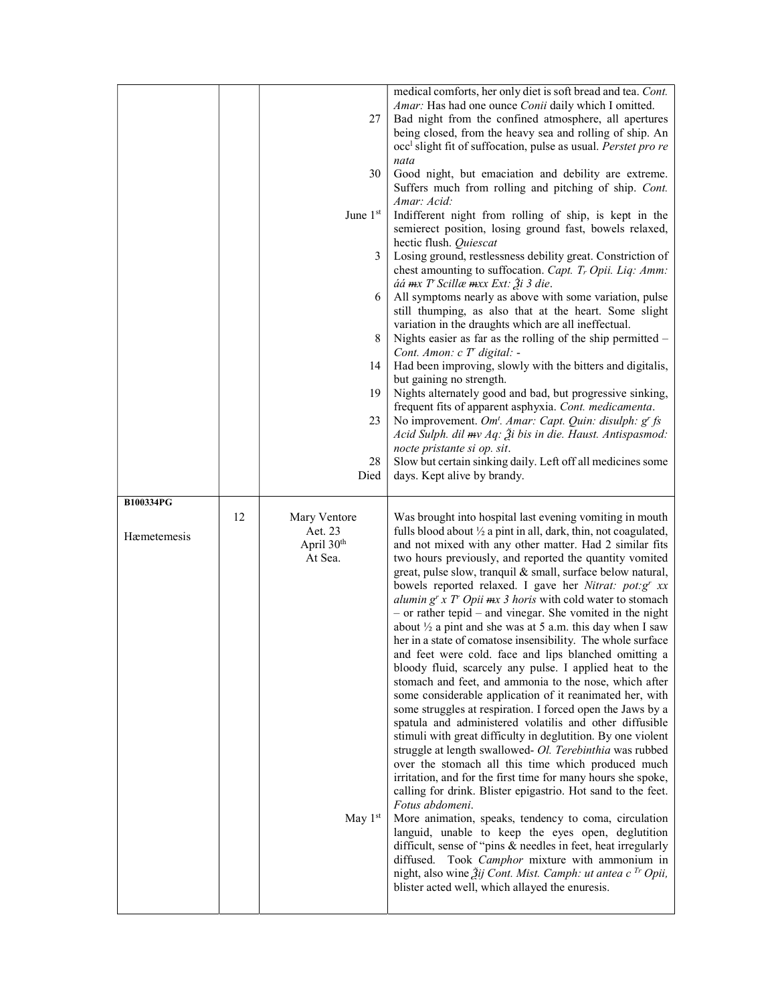|             |    | 27                                                           | medical comforts, her only diet is soft bread and tea. Cont.<br>Amar: Has had one ounce Conii daily which I omitted.<br>Bad night from the confined atmosphere, all apertures<br>being closed, from the heavy sea and rolling of ship. An<br>occ <sup>1</sup> slight fit of suffocation, pulse as usual. Perstet pro re                                                                                                                                                                                                                                                                                                                                                                                                                                                                                                                                                                                                                                                                                                                                                                                                                                                                                                                                                                                                                                              |
|-------------|----|--------------------------------------------------------------|----------------------------------------------------------------------------------------------------------------------------------------------------------------------------------------------------------------------------------------------------------------------------------------------------------------------------------------------------------------------------------------------------------------------------------------------------------------------------------------------------------------------------------------------------------------------------------------------------------------------------------------------------------------------------------------------------------------------------------------------------------------------------------------------------------------------------------------------------------------------------------------------------------------------------------------------------------------------------------------------------------------------------------------------------------------------------------------------------------------------------------------------------------------------------------------------------------------------------------------------------------------------------------------------------------------------------------------------------------------------|
|             |    | 30                                                           | nata<br>Good night, but emaciation and debility are extreme.<br>Suffers much from rolling and pitching of ship. Cont.<br>Amar: Acid:                                                                                                                                                                                                                                                                                                                                                                                                                                                                                                                                                                                                                                                                                                                                                                                                                                                                                                                                                                                                                                                                                                                                                                                                                                 |
|             |    | June 1st                                                     | Indifferent night from rolling of ship, is kept in the<br>semierect position, losing ground fast, bowels relaxed,<br>hectic flush. Quiescat                                                                                                                                                                                                                                                                                                                                                                                                                                                                                                                                                                                                                                                                                                                                                                                                                                                                                                                                                                                                                                                                                                                                                                                                                          |
|             |    | 3                                                            | Losing ground, restlessness debility great. Constriction of<br>chest amounting to suffocation. Capt. T <sub>r</sub> Opii. Liq: Amm:<br>áá mx T Scillæ mxx Ext: Ѯi 3 die.                                                                                                                                                                                                                                                                                                                                                                                                                                                                                                                                                                                                                                                                                                                                                                                                                                                                                                                                                                                                                                                                                                                                                                                             |
|             |    | 6                                                            | All symptoms nearly as above with some variation, pulse<br>still thumping, as also that at the heart. Some slight<br>variation in the draughts which are all ineffectual.                                                                                                                                                                                                                                                                                                                                                                                                                                                                                                                                                                                                                                                                                                                                                                                                                                                                                                                                                                                                                                                                                                                                                                                            |
|             |    | 8                                                            | Nights easier as far as the rolling of the ship permitted -<br>Cont. Amon: c T' digital: -                                                                                                                                                                                                                                                                                                                                                                                                                                                                                                                                                                                                                                                                                                                                                                                                                                                                                                                                                                                                                                                                                                                                                                                                                                                                           |
|             |    | 14                                                           | Had been improving, slowly with the bitters and digitalis,<br>but gaining no strength.                                                                                                                                                                                                                                                                                                                                                                                                                                                                                                                                                                                                                                                                                                                                                                                                                                                                                                                                                                                                                                                                                                                                                                                                                                                                               |
|             |    | 19                                                           | Nights alternately good and bad, but progressive sinking,<br>frequent fits of apparent asphyxia. Cont. medicamenta.                                                                                                                                                                                                                                                                                                                                                                                                                                                                                                                                                                                                                                                                                                                                                                                                                                                                                                                                                                                                                                                                                                                                                                                                                                                  |
|             |    | 23                                                           | No improvement. Om <sup>t</sup> . Amar: Capt. Quin: disulph: g' fs<br>Acid Sulph. dil mv Aq: $\tilde{\mathcal{Z}}$ i bis in die. Haust. Antispasmod:<br>nocte pristante si op. sit.                                                                                                                                                                                                                                                                                                                                                                                                                                                                                                                                                                                                                                                                                                                                                                                                                                                                                                                                                                                                                                                                                                                                                                                  |
|             |    | 28<br>Died                                                   | Slow but certain sinking daily. Left off all medicines some<br>days. Kept alive by brandy.                                                                                                                                                                                                                                                                                                                                                                                                                                                                                                                                                                                                                                                                                                                                                                                                                                                                                                                                                                                                                                                                                                                                                                                                                                                                           |
| B100334PG   |    |                                                              |                                                                                                                                                                                                                                                                                                                                                                                                                                                                                                                                                                                                                                                                                                                                                                                                                                                                                                                                                                                                                                                                                                                                                                                                                                                                                                                                                                      |
| Hæmetemesis | 12 | Mary Ventore<br>Aet. 23<br>April 30 <sup>th</sup><br>At Sea. | Was brought into hospital last evening vomiting in mouth<br>fulls blood about $\frac{1}{2}$ a pint in all, dark, thin, not coagulated,<br>and not mixed with any other matter. Had 2 similar fits<br>two hours previously, and reported the quantity vomited<br>great, pulse slow, tranquil & small, surface below natural,<br>bowels reported relaxed. I gave her Nitrat: pot:g' xx<br>alumin $g^{r}$ x T' Opii $mx$ 3 horis with cold water to stomach<br>- or rather tepid - and vinegar. She vomited in the night<br>about $\frac{1}{2}$ a pint and she was at 5 a.m. this day when I saw<br>her in a state of comatose insensibility. The whole surface<br>and feet were cold. face and lips blanched omitting a<br>bloody fluid, scarcely any pulse. I applied heat to the<br>stomach and feet, and ammonia to the nose, which after<br>some considerable application of it reanimated her, with<br>some struggles at respiration. I forced open the Jaws by a<br>spatula and administered volatilis and other diffusible<br>stimuli with great difficulty in deglutition. By one violent<br>struggle at length swallowed- Ol. Terebinthia was rubbed<br>over the stomach all this time which produced much<br>irritation, and for the first time for many hours she spoke,<br>calling for drink. Blister epigastrio. Hot sand to the feet.<br>Fotus abdomeni. |
|             |    | May $1st$                                                    | More animation, speaks, tendency to coma, circulation<br>languid, unable to keep the eyes open, deglutition<br>difficult, sense of "pins & needles in feet, heat irregularly<br>diffused. Took Camphor mixture with ammonium in<br>night, also wine $\tilde{A}$ ij Cont. Mist. Camph: ut antea c <sup>Tr</sup> Opii,<br>blister acted well, which allayed the enuresis.                                                                                                                                                                                                                                                                                                                                                                                                                                                                                                                                                                                                                                                                                                                                                                                                                                                                                                                                                                                              |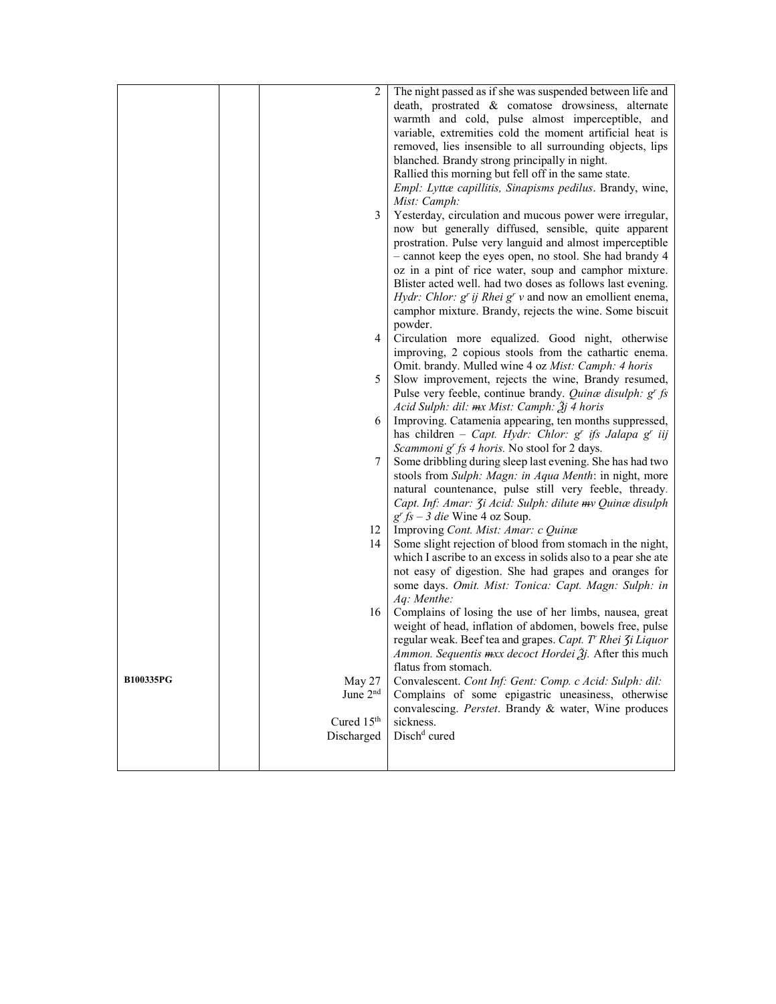|                  |                        | The night passed as if she was suspended between life and       |
|------------------|------------------------|-----------------------------------------------------------------|
|                  |                        | death, prostrated & comatose drowsiness, alternate              |
|                  |                        | warmth and cold, pulse almost imperceptible, and                |
|                  |                        | variable, extremities cold the moment artificial heat is        |
|                  |                        | removed, lies insensible to all surrounding objects, lips       |
|                  |                        | blanched. Brandy strong principally in night.                   |
|                  |                        | Rallied this morning but fell off in the same state.            |
|                  |                        | Empl: Lyttæ capillitis, Sinapisms pedilus. Brandy, wine,        |
|                  |                        | Mist: Camph:                                                    |
|                  | 3                      | Yesterday, circulation and mucous power were irregular,         |
|                  |                        | now but generally diffused, sensible, quite apparent            |
|                  |                        | prostration. Pulse very languid and almost imperceptible        |
|                  |                        | - cannot keep the eyes open, no stool. She had brandy 4         |
|                  |                        | oz in a pint of rice water, soup and camphor mixture.           |
|                  |                        | Blister acted well. had two doses as follows last evening.      |
|                  |                        | <i>Hydr: Chlor: g' ij Rhei g' v</i> and now an emollient enema, |
|                  |                        | camphor mixture. Brandy, rejects the wine. Some biscuit         |
|                  |                        | powder.                                                         |
|                  | 4                      | Circulation more equalized. Good night, otherwise               |
|                  |                        | improving, 2 copious stools from the cathartic enema.           |
|                  |                        | Omit. brandy. Mulled wine 4 oz Mist: Camph: 4 horis             |
|                  | 5                      | Slow improvement, rejects the wine, Brandy resumed,             |
|                  |                        | Pulse very feeble, continue brandy. Quinæ disulph: g' fs        |
|                  |                        | Acid Sulph: dil: mx Mist: Camph: $\tilde{A}j$ 4 horis           |
|                  | 6                      | Improving. Catamenia appearing, ten months suppressed,          |
|                  |                        | has children - Capt. Hydr: Chlor: $g^r$ ifs Jalapa $g^r$ iij    |
|                  |                        | Scammoni g' fs 4 horis. No stool for 2 days.                    |
|                  | 7                      | Some dribbling during sleep last evening. She has had two       |
|                  |                        | stools from Sulph: Magn: in Aqua Menth: in night, more          |
|                  |                        | natural countenance, pulse still very feeble, thready.          |
|                  |                        | Capt. Inf: Amar: <i>Ji Acid: Sulph: dilute mv Quinæ disulph</i> |
|                  |                        | $g^r$ fs – 3 die Wine 4 oz Soup.                                |
|                  | 12                     | Improving Cont. Mist: Amar: c Quinæ                             |
|                  | 14                     | Some slight rejection of blood from stomach in the night,       |
|                  |                        | which I ascribe to an excess in solids also to a pear she ate   |
|                  |                        | not easy of digestion. She had grapes and oranges for           |
|                  |                        | some days. Omit. Mist: Tonica: Capt. Magn: Sulph: in            |
|                  |                        | Aq: Menthe:                                                     |
|                  | 16                     | Complains of losing the use of her limbs, nausea, great         |
|                  |                        | weight of head, inflation of abdomen, bowels free, pulse        |
|                  |                        | regular weak. Beef tea and grapes. Capt. T' Rhei Zi Liquor      |
|                  |                        | Ammon. Sequentis mxx decoct Hordei Žj. After this much          |
|                  |                        | flatus from stomach.                                            |
| <b>B100335PG</b> | May 27                 | Convalescent. Cont Inf: Gent: Comp. c Acid: Sulph: dil:         |
|                  | June 2nd               | Complains of some epigastric uneasiness, otherwise              |
|                  |                        | convalescing. Perstet. Brandy & water, Wine produces            |
|                  | Cured 15 <sup>th</sup> | sickness.                                                       |
|                  | Discharged             | Disch <sup>d</sup> cured                                        |
|                  |                        |                                                                 |
|                  |                        |                                                                 |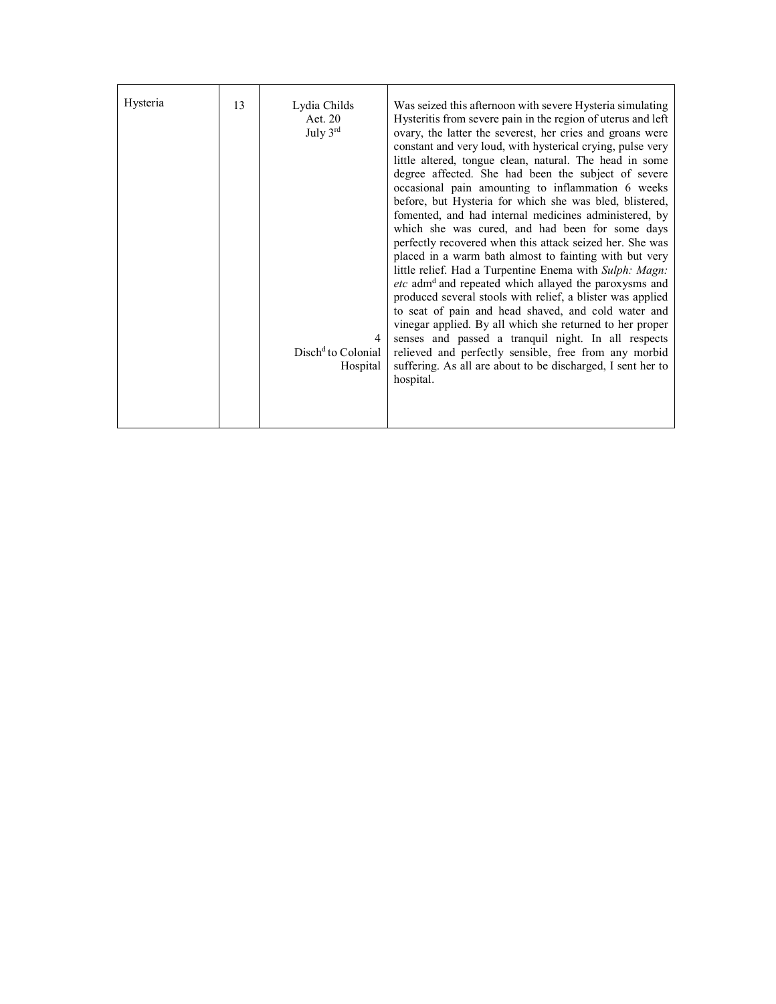| Hysteria | 13 | Lydia Childs<br>Aet. 20<br>July 3rd<br>4<br>Disch <sup>d</sup> to Colonial<br>Hospital | Was seized this afternoon with severe Hysteria simulating<br>Hysteritis from severe pain in the region of uterus and left<br>ovary, the latter the severest, her cries and groans were<br>constant and very loud, with hysterical crying, pulse very<br>little altered, tongue clean, natural. The head in some<br>degree affected. She had been the subject of severe<br>occasional pain amounting to inflammation 6 weeks<br>before, but Hysteria for which she was bled, blistered,<br>fomented, and had internal medicines administered, by<br>which she was cured, and had been for some days<br>perfectly recovered when this attack seized her. She was<br>placed in a warm bath almost to fainting with but very<br>little relief. Had a Turpentine Enema with Sulph: Magn:<br>etc adm <sup>d</sup> and repeated which allayed the paroxysms and<br>produced several stools with relief, a blister was applied<br>to seat of pain and head shaved, and cold water and<br>vinegar applied. By all which she returned to her proper<br>senses and passed a tranquil night. In all respects<br>relieved and perfectly sensible, free from any morbid<br>suffering. As all are about to be discharged, I sent her to<br>hospital. |
|----------|----|----------------------------------------------------------------------------------------|---------------------------------------------------------------------------------------------------------------------------------------------------------------------------------------------------------------------------------------------------------------------------------------------------------------------------------------------------------------------------------------------------------------------------------------------------------------------------------------------------------------------------------------------------------------------------------------------------------------------------------------------------------------------------------------------------------------------------------------------------------------------------------------------------------------------------------------------------------------------------------------------------------------------------------------------------------------------------------------------------------------------------------------------------------------------------------------------------------------------------------------------------------------------------------------------------------------------------------------|
|----------|----|----------------------------------------------------------------------------------------|---------------------------------------------------------------------------------------------------------------------------------------------------------------------------------------------------------------------------------------------------------------------------------------------------------------------------------------------------------------------------------------------------------------------------------------------------------------------------------------------------------------------------------------------------------------------------------------------------------------------------------------------------------------------------------------------------------------------------------------------------------------------------------------------------------------------------------------------------------------------------------------------------------------------------------------------------------------------------------------------------------------------------------------------------------------------------------------------------------------------------------------------------------------------------------------------------------------------------------------|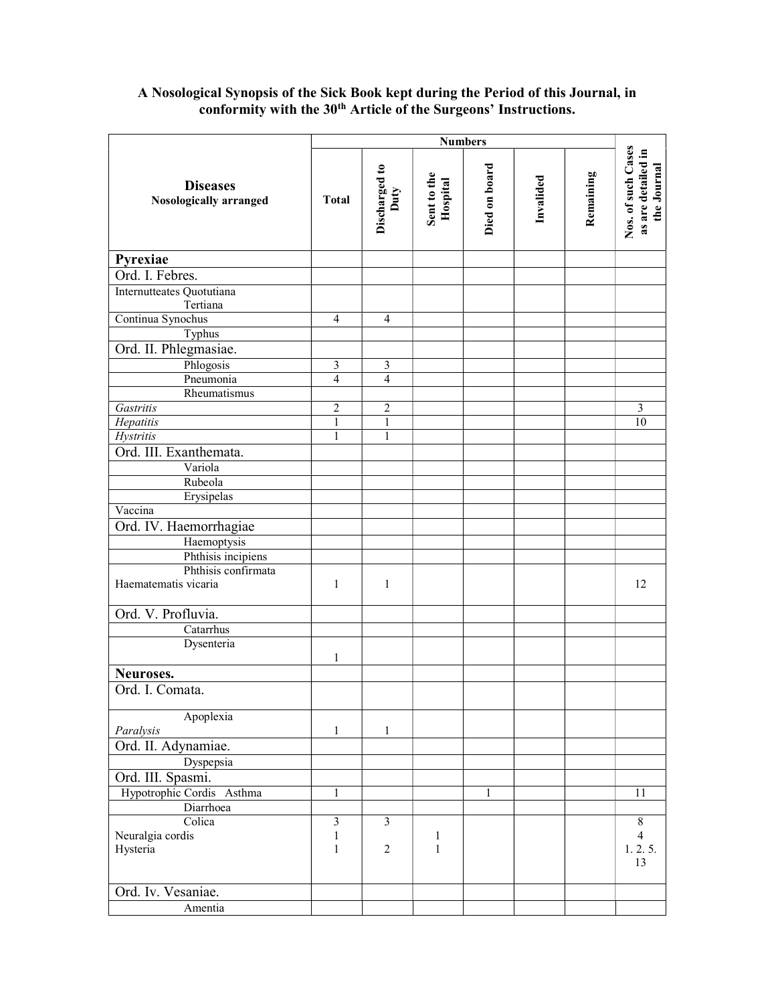## A Nosological Synopsis of the Sick Book kept during the Period of this Journal, in conformity with the 30<sup>th</sup> Article of the Surgeons' Instructions.

|                                           |                | <b>Numbers</b>        |                         |               |           |           |                                                         |
|-------------------------------------------|----------------|-----------------------|-------------------------|---------------|-----------|-----------|---------------------------------------------------------|
| <b>Diseases</b><br>Nosologically arranged | <b>Total</b>   | Discharged to<br>Duty | Sent to the<br>Hospital | Died on board | Invalided | Remaining | Nos. of such Cases<br>as are detailed in<br>the Journal |
| Pyrexiae                                  |                |                       |                         |               |           |           |                                                         |
| Ord. I. Febres.                           |                |                       |                         |               |           |           |                                                         |
| Internutteates Quotutiana                 |                |                       |                         |               |           |           |                                                         |
| Tertiana                                  |                |                       |                         |               |           |           |                                                         |
| Continua Synochus                         | $\overline{4}$ | $\overline{4}$        |                         |               |           |           |                                                         |
| Typhus                                    |                |                       |                         |               |           |           |                                                         |
| Ord. II. Phlegmasiae.                     |                |                       |                         |               |           |           |                                                         |
| Phlogosis                                 | 3              | 3                     |                         |               |           |           |                                                         |
| Pneumonia                                 | $\overline{4}$ | $\overline{4}$        |                         |               |           |           |                                                         |
| Rheumatismus                              |                |                       |                         |               |           |           |                                                         |
| Gastritis                                 | $\overline{c}$ | $\overline{2}$        |                         |               |           |           | 3                                                       |
| Hepatitis                                 |                | 1                     |                         |               |           |           | 10                                                      |
| <b>Hystritis</b>                          |                | 1                     |                         |               |           |           |                                                         |
| Ord. III. Exanthemata.                    |                |                       |                         |               |           |           |                                                         |
| Variola                                   |                |                       |                         |               |           |           |                                                         |
| Rubeola                                   |                |                       |                         |               |           |           |                                                         |
| Erysipelas                                |                |                       |                         |               |           |           |                                                         |
| Vaccina                                   |                |                       |                         |               |           |           |                                                         |
| Ord. IV. Haemorrhagiae                    |                |                       |                         |               |           |           |                                                         |
| Haemoptysis                               |                |                       |                         |               |           |           |                                                         |
| Phthisis incipiens                        |                |                       |                         |               |           |           |                                                         |
| Phthisis confirmata                       |                |                       |                         |               |           |           |                                                         |
| Haematematis vicaria                      | $\mathbf{1}$   | $\mathbf{1}$          |                         |               |           |           | 12                                                      |
| Ord. V. Profluvia.                        |                |                       |                         |               |           |           |                                                         |
| Catarrhus                                 |                |                       |                         |               |           |           |                                                         |
| Dysenteria                                |                |                       |                         |               |           |           |                                                         |
|                                           | $\mathbf{1}$   |                       |                         |               |           |           |                                                         |
| Neuroses.                                 |                |                       |                         |               |           |           |                                                         |
| Ord. I. Comata.                           |                |                       |                         |               |           |           |                                                         |
| Apoplexia                                 |                |                       |                         |               |           |           |                                                         |
| Paralysis                                 | $\mathbf{1}$   | $\mathbf{1}$          |                         |               |           |           |                                                         |
| Ord. II. Adynamiae.                       |                |                       |                         |               |           |           |                                                         |
| Dyspepsia                                 |                |                       |                         |               |           |           |                                                         |
| Ord. III. Spasmi.                         |                |                       |                         |               |           |           |                                                         |
| Hypotrophic Cordis Asthma                 | 1              |                       |                         | $\mathbf{1}$  |           |           | 11                                                      |
| Diarrhoea                                 |                |                       |                         |               |           |           |                                                         |
| Colica                                    | 3              | $\overline{3}$        |                         |               |           |           | $8\,$                                                   |
| Neuralgia cordis                          | 1              |                       | 1                       |               |           |           | $\overline{4}$                                          |
| Hysteria                                  | 1              | $\overline{c}$        | $\mathbf{1}$            |               |           |           | 1.2.5.<br>13                                            |
| Ord. Iv. Vesaniae.                        |                |                       |                         |               |           |           |                                                         |
| Amentia                                   |                |                       |                         |               |           |           |                                                         |
|                                           |                |                       |                         |               |           |           |                                                         |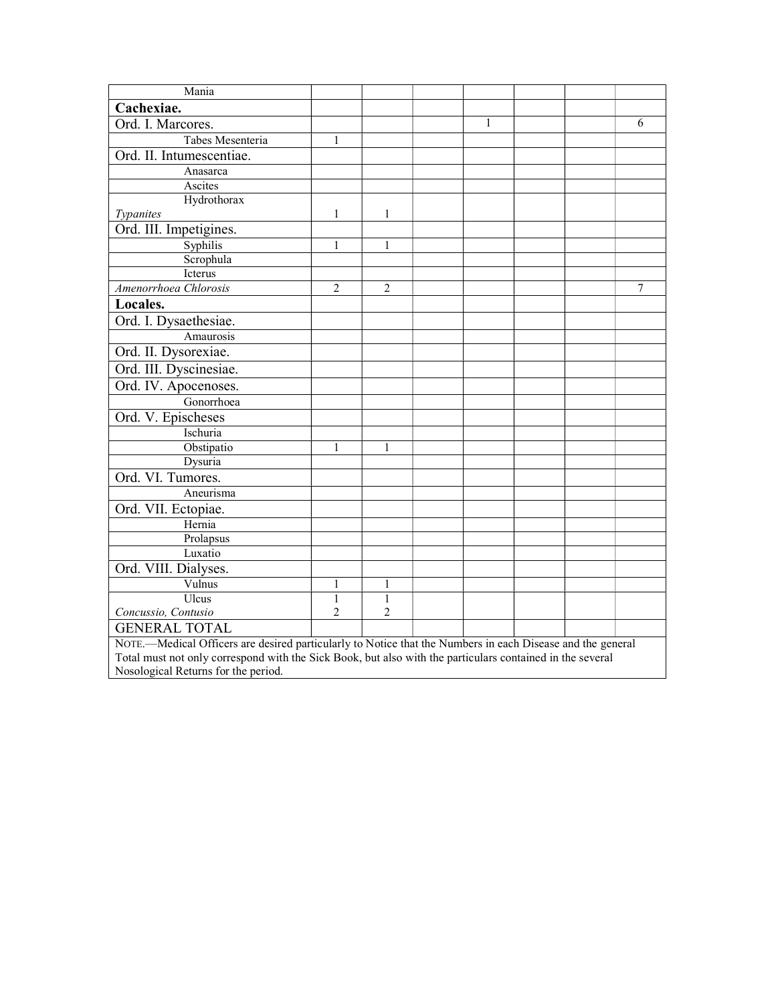| Mania                                                                                                      |                |                |  |   |  |  |   |  |
|------------------------------------------------------------------------------------------------------------|----------------|----------------|--|---|--|--|---|--|
| Cachexiae.                                                                                                 |                |                |  |   |  |  |   |  |
| Ord. I. Marcores.                                                                                          |                |                |  | 1 |  |  | 6 |  |
| Tabes Mesenteria                                                                                           | 1              |                |  |   |  |  |   |  |
| Ord. II. Intumescentiae.                                                                                   |                |                |  |   |  |  |   |  |
| Anasarca                                                                                                   |                |                |  |   |  |  |   |  |
| Ascites                                                                                                    |                |                |  |   |  |  |   |  |
| Hydrothorax                                                                                                |                |                |  |   |  |  |   |  |
| Typanites                                                                                                  | 1              | 1              |  |   |  |  |   |  |
| Ord. III. Impetigines.                                                                                     |                |                |  |   |  |  |   |  |
| Syphilis                                                                                                   | 1              | 1              |  |   |  |  |   |  |
| Scrophula                                                                                                  |                |                |  |   |  |  |   |  |
| Icterus                                                                                                    |                |                |  |   |  |  |   |  |
| Amenorrhoea Chlorosis                                                                                      | $\overline{2}$ | $\overline{2}$ |  |   |  |  | 7 |  |
| Locales.                                                                                                   |                |                |  |   |  |  |   |  |
| Ord. I. Dysaethesiae.                                                                                      |                |                |  |   |  |  |   |  |
| Amaurosis                                                                                                  |                |                |  |   |  |  |   |  |
| Ord. II. Dysorexiae.                                                                                       |                |                |  |   |  |  |   |  |
| Ord. III. Dyscinesiae.                                                                                     |                |                |  |   |  |  |   |  |
| Ord. IV. Apocenoses.                                                                                       |                |                |  |   |  |  |   |  |
| Gonorrhoea                                                                                                 |                |                |  |   |  |  |   |  |
| Ord. V. Epischeses                                                                                         |                |                |  |   |  |  |   |  |
| Ischuria                                                                                                   |                |                |  |   |  |  |   |  |
| Obstipatio                                                                                                 | 1              | 1              |  |   |  |  |   |  |
| Dysuria                                                                                                    |                |                |  |   |  |  |   |  |
| Ord. VI. Tumores.                                                                                          |                |                |  |   |  |  |   |  |
| Aneurisma                                                                                                  |                |                |  |   |  |  |   |  |
| Ord. VII. Ectopiae.                                                                                        |                |                |  |   |  |  |   |  |
| Hernia                                                                                                     |                |                |  |   |  |  |   |  |
| Prolapsus                                                                                                  |                |                |  |   |  |  |   |  |
| Luxatio                                                                                                    |                |                |  |   |  |  |   |  |
| Ord. VIII. Dialyses.                                                                                       |                |                |  |   |  |  |   |  |
| Vulnus                                                                                                     | 1              | 1              |  |   |  |  |   |  |
| Ulcus                                                                                                      | $\mathbf{1}$   | $\mathbf{1}$   |  |   |  |  |   |  |
| Concussio, Contusio                                                                                        | $\overline{2}$ | $\overline{2}$ |  |   |  |  |   |  |
| <b>GENERAL TOTAL</b>                                                                                       |                |                |  |   |  |  |   |  |
| NOTE.—Medical Officers are desired particularly to Notice that the Numbers in each Disease and the general |                |                |  |   |  |  |   |  |
| Total must not only correspond with the Sick Book, but also with the particulars contained in the several  |                |                |  |   |  |  |   |  |
| Nosological Returns for the period.                                                                        |                |                |  |   |  |  |   |  |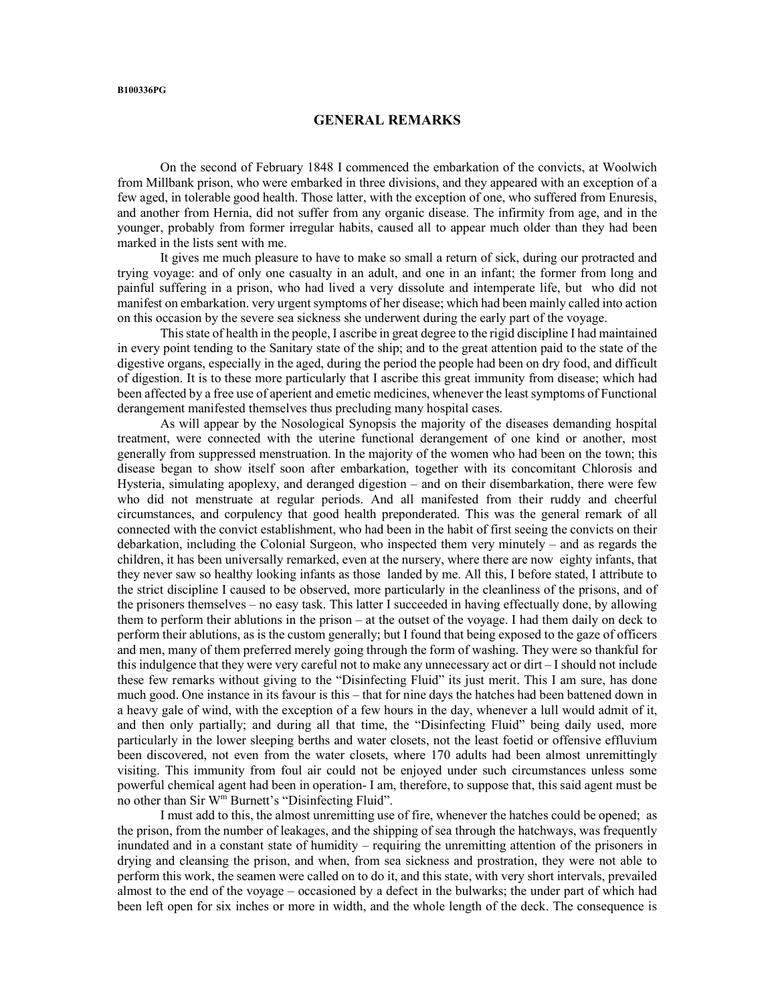#### GENERAL REMARKS

 On the second of February 1848 I commenced the embarkation of the convicts, at Woolwich from Millbank prison, who were embarked in three divisions, and they appeared with an exception of a few aged, in tolerable good health. Those latter, with the exception of one, who suffered from Enuresis, and another from Hernia, did not suffer from any organic disease. The infirmity from age, and in the younger, probably from former irregular habits, caused all to appear much older than they had been marked in the lists sent with me.

 It gives me much pleasure to have to make so small a return of sick, during our protracted and trying voyage: and of only one casualty in an adult, and one in an infant; the former from long and painful suffering in a prison, who had lived a very dissolute and intemperate life, but who did not manifest on embarkation. very urgent symptoms of her disease; which had been mainly called into action on this occasion by the severe sea sickness she underwent during the early part of the voyage.

 This state of health in the people, I ascribe in great degree to the rigid discipline I had maintained in every point tending to the Sanitary state of the ship; and to the great attention paid to the state of the digestive organs, especially in the aged, during the period the people had been on dry food, and difficult of digestion. It is to these more particularly that I ascribe this great immunity from disease; which had been affected by a free use of aperient and emetic medicines, whenever the least symptoms of Functional derangement manifested themselves thus precluding many hospital cases.

 As will appear by the Nosological Synopsis the majority of the diseases demanding hospital treatment, were connected with the uterine functional derangement of one kind or another, most generally from suppressed menstruation. In the majority of the women who had been on the town; this disease began to show itself soon after embarkation, together with its concomitant Chlorosis and Hysteria, simulating apoplexy, and deranged digestion – and on their disembarkation, there were few who did not menstruate at regular periods. And all manifested from their ruddy and cheerful circumstances, and corpulency that good health preponderated. This was the general remark of all connected with the convict establishment, who had been in the habit of first seeing the convicts on their debarkation, including the Colonial Surgeon, who inspected them very minutely – and as regards the children, it has been universally remarked, even at the nursery, where there are now eighty infants, that they never saw so healthy looking infants as those landed by me. All this, I before stated, I attribute to the strict discipline I caused to be observed, more particularly in the cleanliness of the prisons, and of the prisoners themselves – no easy task. This latter I succeeded in having effectually done, by allowing them to perform their ablutions in the prison – at the outset of the voyage. I had them daily on deck to perform their ablutions, as is the custom generally; but I found that being exposed to the gaze of officers and men, many of them preferred merely going through the form of washing. They were so thankful for this indulgence that they were very careful not to make any unnecessary act or dirt – I should not include these few remarks without giving to the "Disinfecting Fluid" its just merit. This I am sure, has done much good. One instance in its favour is this – that for nine days the hatches had been battened down in a heavy gale of wind, with the exception of a few hours in the day, whenever a lull would admit of it, and then only partially; and during all that time, the "Disinfecting Fluid" being daily used, more particularly in the lower sleeping berths and water closets, not the least foetid or offensive effluvium been discovered, not even from the water closets, where 170 adults had been almost unremittingly visiting. This immunity from foul air could not be enjoyed under such circumstances unless some powerful chemical agent had been in operation- I am, therefore, to suppose that, this said agent must be no other than Sir W<sup>m</sup> Burnett's "Disinfecting Fluid".

I must add to this, the almost unremitting use of fire, whenever the hatches could be opened; as the prison, from the number of leakages, and the shipping of sea through the hatchways, was frequently inundated and in a constant state of humidity – requiring the unremitting attention of the prisoners in drying and cleansing the prison, and when, from sea sickness and prostration, they were not able to perform this work, the seamen were called on to do it, and this state, with very short intervals, prevailed almost to the end of the voyage – occasioned by a defect in the bulwarks; the under part of which had been left open for six inches or more in width, and the whole length of the deck. The consequence is